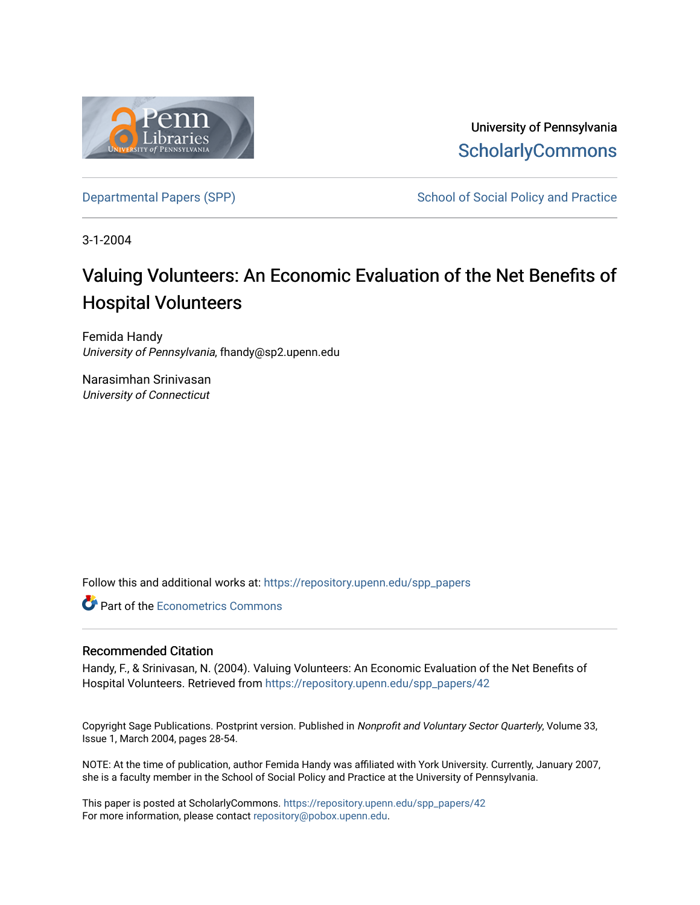

University of Pennsylvania **ScholarlyCommons** 

[Departmental Papers \(SPP\)](https://repository.upenn.edu/spp_papers) School of Social Policy and Practice

3-1-2004

# Valuing Volunteers: An Economic Evaluation of the Net Benefits of Hospital Volunteers

Femida Handy University of Pennsylvania, fhandy@sp2.upenn.edu

Narasimhan Srinivasan University of Connecticut

Follow this and additional works at: [https://repository.upenn.edu/spp\\_papers](https://repository.upenn.edu/spp_papers?utm_source=repository.upenn.edu%2Fspp_papers%2F42&utm_medium=PDF&utm_campaign=PDFCoverPages) 

**C** Part of the [Econometrics Commons](http://network.bepress.com/hgg/discipline/342?utm_source=repository.upenn.edu%2Fspp_papers%2F42&utm_medium=PDF&utm_campaign=PDFCoverPages)

#### Recommended Citation

Handy, F., & Srinivasan, N. (2004). Valuing Volunteers: An Economic Evaluation of the Net Benefits of Hospital Volunteers. Retrieved from [https://repository.upenn.edu/spp\\_papers/42](https://repository.upenn.edu/spp_papers/42?utm_source=repository.upenn.edu%2Fspp_papers%2F42&utm_medium=PDF&utm_campaign=PDFCoverPages) 

Copyright Sage Publications. Postprint version. Published in Nonprofit and Voluntary Sector Quarterly, Volume 33, Issue 1, March 2004, pages 28-54.

NOTE: At the time of publication, author Femida Handy was affiliated with York University. Currently, January 2007, she is a faculty member in the School of Social Policy and Practice at the University of Pennsylvania.

This paper is posted at ScholarlyCommons. [https://repository.upenn.edu/spp\\_papers/42](https://repository.upenn.edu/spp_papers/42)  For more information, please contact [repository@pobox.upenn.edu.](mailto:repository@pobox.upenn.edu)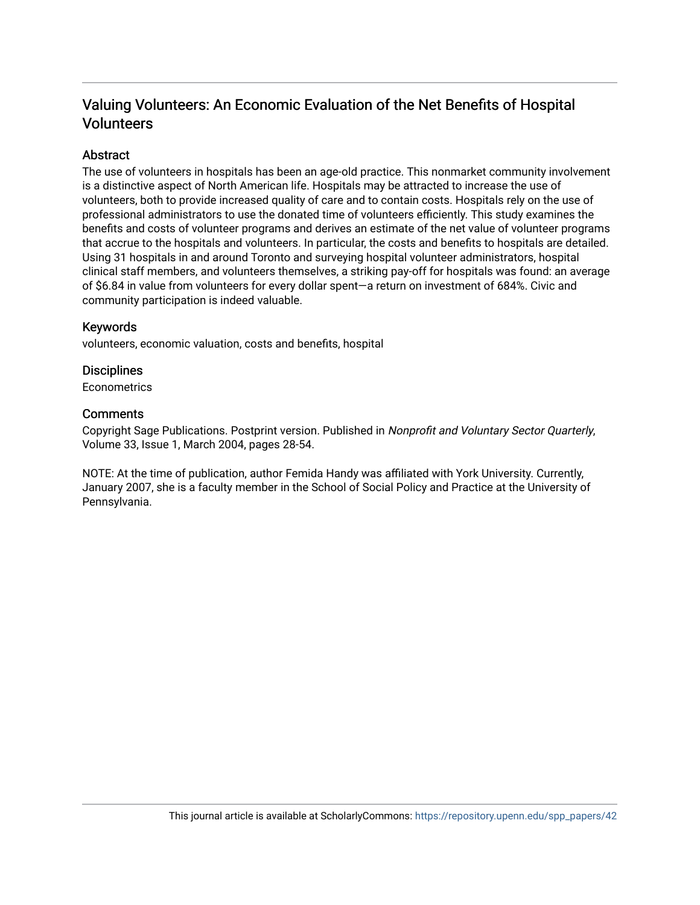## Valuing Volunteers: An Economic Evaluation of the Net Benefits of Hospital Volunteers

### **Abstract**

The use of volunteers in hospitals has been an age-old practice. This nonmarket community involvement is a distinctive aspect of North American life. Hospitals may be attracted to increase the use of volunteers, both to provide increased quality of care and to contain costs. Hospitals rely on the use of professional administrators to use the donated time of volunteers efficiently. This study examines the benefits and costs of volunteer programs and derives an estimate of the net value of volunteer programs that accrue to the hospitals and volunteers. In particular, the costs and benefits to hospitals are detailed. Using 31 hospitals in and around Toronto and surveying hospital volunteer administrators, hospital clinical staff members, and volunteers themselves, a striking pay-off for hospitals was found: an average of \$6.84 in value from volunteers for every dollar spent—a return on investment of 684%. Civic and community participation is indeed valuable.

#### Keywords

volunteers, economic valuation, costs and benefits, hospital

#### **Disciplines**

**Econometrics** 

#### **Comments**

Copyright Sage Publications. Postprint version. Published in Nonprofit and Voluntary Sector Quarterly, Volume 33, Issue 1, March 2004, pages 28-54.

NOTE: At the time of publication, author Femida Handy was affiliated with York University. Currently, January 2007, she is a faculty member in the School of Social Policy and Practice at the University of Pennsylvania.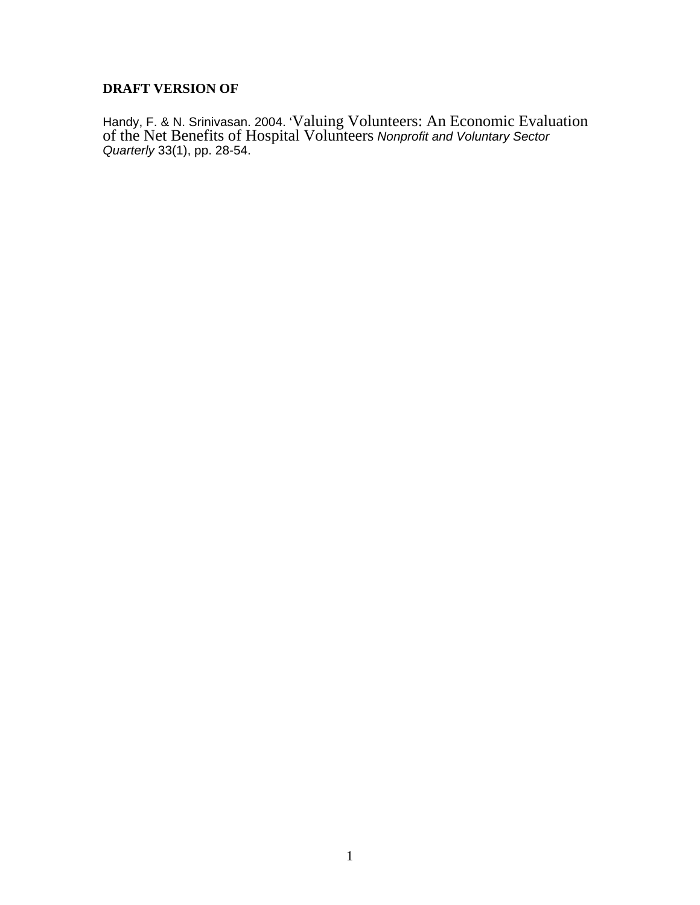## **DRAFT VERSION OF**

Handy, F. & N. Srinivasan. 2004. 'Valuing Volunteers: An Economic Evaluation of the Net Benefits of Hospital Volunteers *Nonprofit and Voluntary Sector Quarterly* 33(1), pp. 28-54.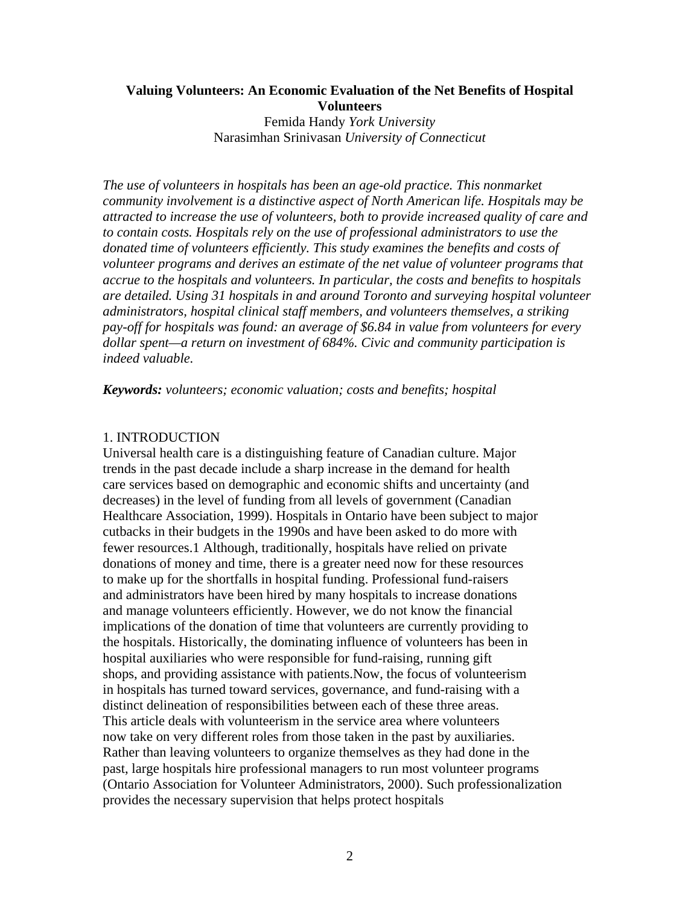#### **Valuing Volunteers: An Economic Evaluation of the Net Benefits of Hospital Volunteers**

Femida Handy *York University*  Narasimhan Srinivasan *University of Connecticut* 

*The use of volunteers in hospitals has been an age-old practice. This nonmarket community involvement is a distinctive aspect of North American life. Hospitals may be attracted to increase the use of volunteers, both to provide increased quality of care and to contain costs. Hospitals rely on the use of professional administrators to use the donated time of volunteers efficiently. This study examines the benefits and costs of volunteer programs and derives an estimate of the net value of volunteer programs that accrue to the hospitals and volunteers. In particular, the costs and benefits to hospitals are detailed. Using 31 hospitals in and around Toronto and surveying hospital volunteer administrators, hospital clinical staff members, and volunteers themselves, a striking pay-off for hospitals was found: an average of \$6.84 in value from volunteers for every dollar spent—a return on investment of 684%. Civic and community participation is indeed valuable.* 

*Keywords: volunteers; economic valuation; costs and benefits; hospital* 

#### 1. INTRODUCTION

Universal health care is a distinguishing feature of Canadian culture. Major trends in the past decade include a sharp increase in the demand for health care services based on demographic and economic shifts and uncertainty (and decreases) in the level of funding from all levels of government (Canadian Healthcare Association, 1999). Hospitals in Ontario have been subject to major cutbacks in their budgets in the 1990s and have been asked to do more with fewer resources.1 Although, traditionally, hospitals have relied on private donations of money and time, there is a greater need now for these resources to make up for the shortfalls in hospital funding. Professional fund-raisers and administrators have been hired by many hospitals to increase donations and manage volunteers efficiently. However, we do not know the financial implications of the donation of time that volunteers are currently providing to the hospitals. Historically, the dominating influence of volunteers has been in hospital auxiliaries who were responsible for fund-raising, running gift shops, and providing assistance with patients.Now, the focus of volunteerism in hospitals has turned toward services, governance, and fund-raising with a distinct delineation of responsibilities between each of these three areas. This article deals with volunteerism in the service area where volunteers now take on very different roles from those taken in the past by auxiliaries. Rather than leaving volunteers to organize themselves as they had done in the past, large hospitals hire professional managers to run most volunteer programs (Ontario Association for Volunteer Administrators, 2000). Such professionalization provides the necessary supervision that helps protect hospitals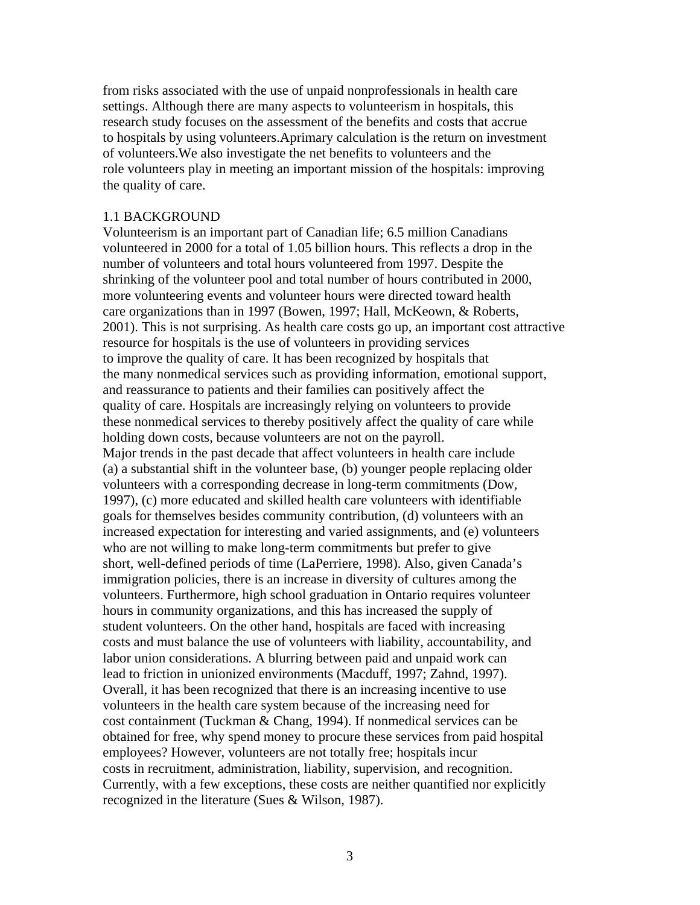from risks associated with the use of unpaid nonprofessionals in health care settings. Although there are many aspects to volunteerism in hospitals, this research study focuses on the assessment of the benefits and costs that accrue to hospitals by using volunteers.Aprimary calculation is the return on investment of volunteers.We also investigate the net benefits to volunteers and the role volunteers play in meeting an important mission of the hospitals: improving the quality of care.

#### 1.1 BACKGROUND

Volunteerism is an important part of Canadian life; 6.5 million Canadians volunteered in 2000 for a total of 1.05 billion hours. This reflects a drop in the number of volunteers and total hours volunteered from 1997. Despite the shrinking of the volunteer pool and total number of hours contributed in 2000, more volunteering events and volunteer hours were directed toward health care organizations than in 1997 (Bowen, 1997; Hall, McKeown, & Roberts, 2001). This is not surprising. As health care costs go up, an important cost attractive resource for hospitals is the use of volunteers in providing services to improve the quality of care. It has been recognized by hospitals that the many nonmedical services such as providing information, emotional support, and reassurance to patients and their families can positively affect the quality of care. Hospitals are increasingly relying on volunteers to provide these nonmedical services to thereby positively affect the quality of care while holding down costs, because volunteers are not on the payroll. Major trends in the past decade that affect volunteers in health care include (a) a substantial shift in the volunteer base, (b) younger people replacing older volunteers with a corresponding decrease in long-term commitments (Dow, 1997), (c) more educated and skilled health care volunteers with identifiable goals for themselves besides community contribution, (d) volunteers with an increased expectation for interesting and varied assignments, and (e) volunteers who are not willing to make long-term commitments but prefer to give short, well-defined periods of time (LaPerriere, 1998). Also, given Canada's immigration policies, there is an increase in diversity of cultures among the volunteers. Furthermore, high school graduation in Ontario requires volunteer hours in community organizations, and this has increased the supply of student volunteers. On the other hand, hospitals are faced with increasing costs and must balance the use of volunteers with liability, accountability, and labor union considerations. A blurring between paid and unpaid work can lead to friction in unionized environments (Macduff, 1997; Zahnd, 1997). Overall, it has been recognized that there is an increasing incentive to use volunteers in the health care system because of the increasing need for cost containment (Tuckman & Chang, 1994). If nonmedical services can be obtained for free, why spend money to procure these services from paid hospital employees? However, volunteers are not totally free; hospitals incur costs in recruitment, administration, liability, supervision, and recognition. Currently, with a few exceptions, these costs are neither quantified nor explicitly recognized in the literature (Sues & Wilson, 1987).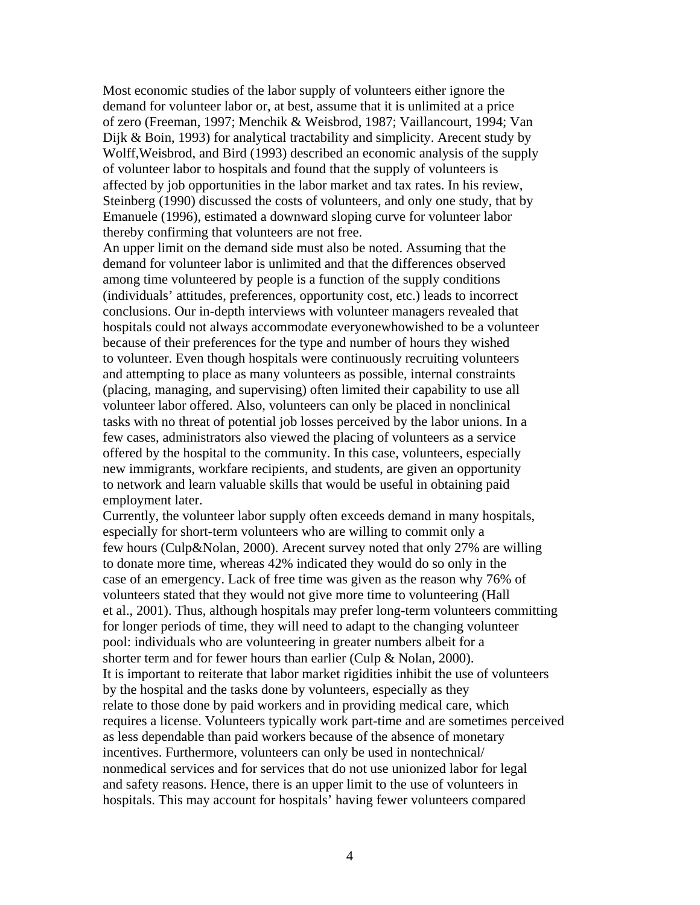Most economic studies of the labor supply of volunteers either ignore the demand for volunteer labor or, at best, assume that it is unlimited at a price of zero (Freeman, 1997; Menchik & Weisbrod, 1987; Vaillancourt, 1994; Van Dijk & Boin, 1993) for analytical tractability and simplicity. Arecent study by Wolff,Weisbrod, and Bird (1993) described an economic analysis of the supply of volunteer labor to hospitals and found that the supply of volunteers is affected by job opportunities in the labor market and tax rates. In his review, Steinberg (1990) discussed the costs of volunteers, and only one study, that by Emanuele (1996), estimated a downward sloping curve for volunteer labor thereby confirming that volunteers are not free.

An upper limit on the demand side must also be noted. Assuming that the demand for volunteer labor is unlimited and that the differences observed among time volunteered by people is a function of the supply conditions (individuals' attitudes, preferences, opportunity cost, etc.) leads to incorrect conclusions. Our in-depth interviews with volunteer managers revealed that hospitals could not always accommodate everyonewhowished to be a volunteer because of their preferences for the type and number of hours they wished to volunteer. Even though hospitals were continuously recruiting volunteers and attempting to place as many volunteers as possible, internal constraints (placing, managing, and supervising) often limited their capability to use all volunteer labor offered. Also, volunteers can only be placed in nonclinical tasks with no threat of potential job losses perceived by the labor unions. In a few cases, administrators also viewed the placing of volunteers as a service offered by the hospital to the community. In this case, volunteers, especially new immigrants, workfare recipients, and students, are given an opportunity to network and learn valuable skills that would be useful in obtaining paid employment later.

Currently, the volunteer labor supply often exceeds demand in many hospitals, especially for short-term volunteers who are willing to commit only a few hours (Culp&Nolan, 2000). Arecent survey noted that only 27% are willing to donate more time, whereas 42% indicated they would do so only in the case of an emergency. Lack of free time was given as the reason why 76% of volunteers stated that they would not give more time to volunteering (Hall et al., 2001). Thus, although hospitals may prefer long-term volunteers committing for longer periods of time, they will need to adapt to the changing volunteer pool: individuals who are volunteering in greater numbers albeit for a shorter term and for fewer hours than earlier (Culp & Nolan, 2000). It is important to reiterate that labor market rigidities inhibit the use of volunteers by the hospital and the tasks done by volunteers, especially as they relate to those done by paid workers and in providing medical care, which requires a license. Volunteers typically work part-time and are sometimes perceived as less dependable than paid workers because of the absence of monetary incentives. Furthermore, volunteers can only be used in nontechnical/ nonmedical services and for services that do not use unionized labor for legal and safety reasons. Hence, there is an upper limit to the use of volunteers in hospitals. This may account for hospitals' having fewer volunteers compared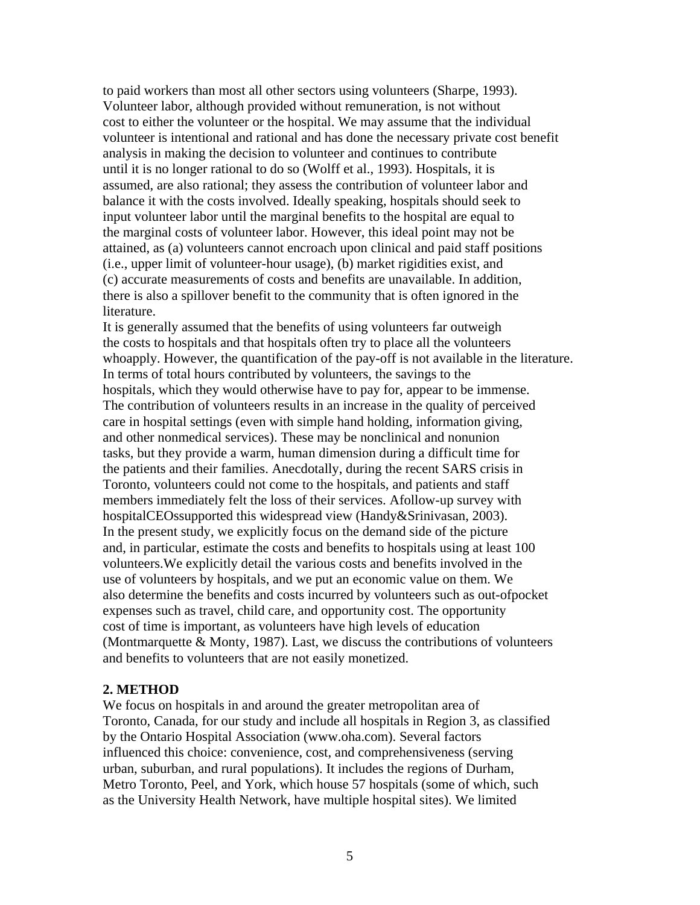to paid workers than most all other sectors using volunteers (Sharpe, 1993). Volunteer labor, although provided without remuneration, is not without cost to either the volunteer or the hospital. We may assume that the individual volunteer is intentional and rational and has done the necessary private cost benefit analysis in making the decision to volunteer and continues to contribute until it is no longer rational to do so (Wolff et al., 1993). Hospitals, it is assumed, are also rational; they assess the contribution of volunteer labor and balance it with the costs involved. Ideally speaking, hospitals should seek to input volunteer labor until the marginal benefits to the hospital are equal to the marginal costs of volunteer labor. However, this ideal point may not be attained, as (a) volunteers cannot encroach upon clinical and paid staff positions (i.e., upper limit of volunteer-hour usage), (b) market rigidities exist, and (c) accurate measurements of costs and benefits are unavailable. In addition, there is also a spillover benefit to the community that is often ignored in the literature.

It is generally assumed that the benefits of using volunteers far outweigh the costs to hospitals and that hospitals often try to place all the volunteers whoapply. However, the quantification of the pay-off is not available in the literature. In terms of total hours contributed by volunteers, the savings to the hospitals, which they would otherwise have to pay for, appear to be immense. The contribution of volunteers results in an increase in the quality of perceived care in hospital settings (even with simple hand holding, information giving, and other nonmedical services). These may be nonclinical and nonunion tasks, but they provide a warm, human dimension during a difficult time for the patients and their families. Anecdotally, during the recent SARS crisis in Toronto, volunteers could not come to the hospitals, and patients and staff members immediately felt the loss of their services. Afollow-up survey with hospitalCEOssupported this widespread view (Handy&Srinivasan, 2003). In the present study, we explicitly focus on the demand side of the picture and, in particular, estimate the costs and benefits to hospitals using at least 100 volunteers.We explicitly detail the various costs and benefits involved in the use of volunteers by hospitals, and we put an economic value on them. We also determine the benefits and costs incurred by volunteers such as out-ofpocket expenses such as travel, child care, and opportunity cost. The opportunity cost of time is important, as volunteers have high levels of education (Montmarquette  $&$  Monty, 1987). Last, we discuss the contributions of volunteers and benefits to volunteers that are not easily monetized.

#### **2. METHOD**

We focus on hospitals in and around the greater metropolitan area of Toronto, Canada, for our study and include all hospitals in Region 3, as classified by the Ontario Hospital Association (www.oha.com). Several factors influenced this choice: convenience, cost, and comprehensiveness (serving urban, suburban, and rural populations). It includes the regions of Durham, Metro Toronto, Peel, and York, which house 57 hospitals (some of which, such as the University Health Network, have multiple hospital sites). We limited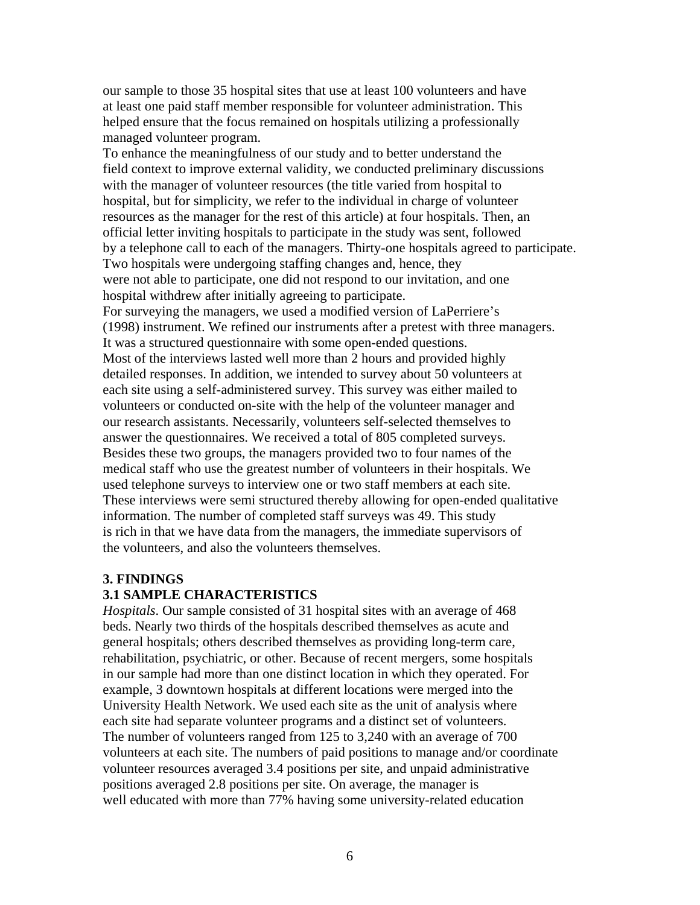our sample to those 35 hospital sites that use at least 100 volunteers and have at least one paid staff member responsible for volunteer administration. This helped ensure that the focus remained on hospitals utilizing a professionally managed volunteer program.

To enhance the meaningfulness of our study and to better understand the field context to improve external validity, we conducted preliminary discussions with the manager of volunteer resources (the title varied from hospital to hospital, but for simplicity, we refer to the individual in charge of volunteer resources as the manager for the rest of this article) at four hospitals. Then, an official letter inviting hospitals to participate in the study was sent, followed by a telephone call to each of the managers. Thirty-one hospitals agreed to participate. Two hospitals were undergoing staffing changes and, hence, they were not able to participate, one did not respond to our invitation, and one hospital withdrew after initially agreeing to participate. For surveying the managers, we used a modified version of LaPerriere's (1998) instrument. We refined our instruments after a pretest with three managers. It was a structured questionnaire with some open-ended questions. Most of the interviews lasted well more than 2 hours and provided highly detailed responses. In addition, we intended to survey about 50 volunteers at each site using a self-administered survey. This survey was either mailed to volunteers or conducted on-site with the help of the volunteer manager and our research assistants. Necessarily, volunteers self-selected themselves to answer the questionnaires. We received a total of 805 completed surveys. Besides these two groups, the managers provided two to four names of the medical staff who use the greatest number of volunteers in their hospitals. We used telephone surveys to interview one or two staff members at each site. These interviews were semi structured thereby allowing for open-ended qualitative information. The number of completed staff surveys was 49. This study is rich in that we have data from the managers, the immediate supervisors of the volunteers, and also the volunteers themselves.

#### **3. FINDINGS**

#### **3.1 SAMPLE CHARACTERISTICS**

*Hospitals*. Our sample consisted of 31 hospital sites with an average of 468 beds. Nearly two thirds of the hospitals described themselves as acute and general hospitals; others described themselves as providing long-term care, rehabilitation, psychiatric, or other. Because of recent mergers, some hospitals in our sample had more than one distinct location in which they operated. For example, 3 downtown hospitals at different locations were merged into the University Health Network. We used each site as the unit of analysis where each site had separate volunteer programs and a distinct set of volunteers. The number of volunteers ranged from 125 to 3,240 with an average of 700 volunteers at each site. The numbers of paid positions to manage and/or coordinate volunteer resources averaged 3.4 positions per site, and unpaid administrative positions averaged 2.8 positions per site. On average, the manager is well educated with more than 77% having some university-related education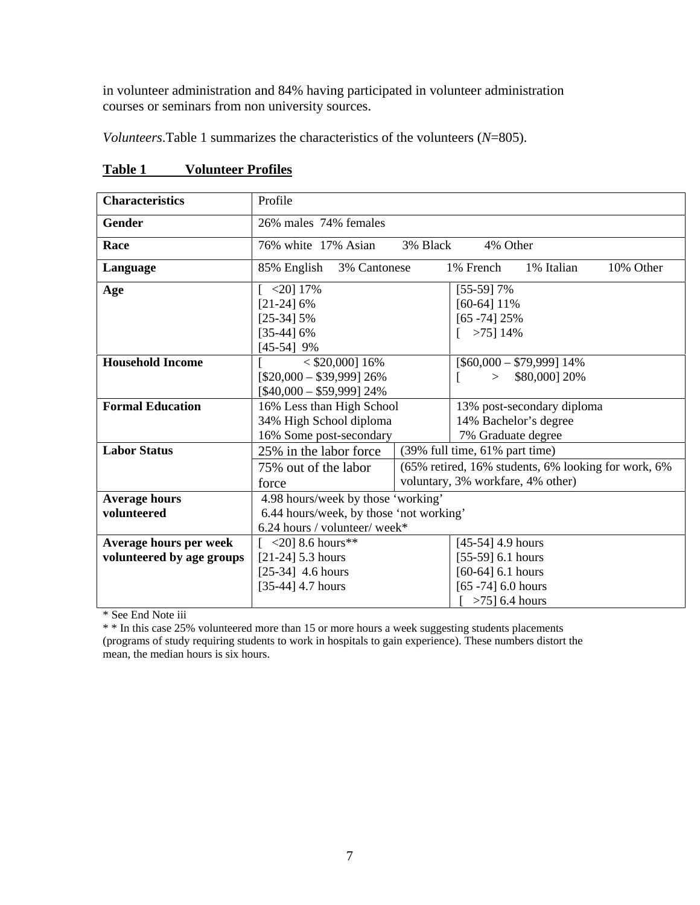in volunteer administration and 84% having participated in volunteer administration courses or seminars from non university sources.

*Volunteers*.Table 1 summarizes the characteristics of the volunteers (*N*=805).

| <b>Characteristics</b>    | Profile                                                                         |  |                                                                                          |  |  |  |
|---------------------------|---------------------------------------------------------------------------------|--|------------------------------------------------------------------------------------------|--|--|--|
| Gender                    | 26% males 74% females                                                           |  |                                                                                          |  |  |  |
| Race                      | 76% white 17% Asian<br>3% Black<br>4% Other                                     |  |                                                                                          |  |  |  |
| Language                  | 1% French<br>1% Italian<br>85% English<br>3% Cantonese<br>10% Other             |  |                                                                                          |  |  |  |
| Age                       | $\left[ \right. 20\right] 17\%$<br>$[21-24]$ 6%                                 |  | $[55-59]$ 7%<br>$[60-64]$ 11%                                                            |  |  |  |
|                           | $[25-34]$ 5%<br>$[35-44]6%$<br>$[45-54]$ 9%                                     |  | $[65 - 74] 25%$<br>$>75$ ] 14%                                                           |  |  |  |
| <b>Household Income</b>   | $<$ \$20,000] 16%<br>$[$20,000 - $39,999]$ 26%<br>$[$40,000 - $59,999]$ 24%     |  | $[$60,000 - $79,999]$ 14%<br>\$80,000] 20%<br>$\geq$                                     |  |  |  |
| <b>Formal Education</b>   | 16% Less than High School<br>34% High School diploma<br>16% Some post-secondary |  | 13% post-secondary diploma<br>14% Bachelor's degree<br>7% Graduate degree                |  |  |  |
| <b>Labor Status</b>       | 25% in the labor force                                                          |  | (39% full time, 61% part time)                                                           |  |  |  |
|                           | 75% out of the labor<br>force                                                   |  | (65% retired, 16% students, 6% looking for work, 6%<br>voluntary, 3% workfare, 4% other) |  |  |  |
| <b>Average hours</b>      | 4.98 hours/week by those 'working'                                              |  |                                                                                          |  |  |  |
| volunteered               | 6.44 hours/week, by those 'not working'                                         |  |                                                                                          |  |  |  |
|                           | 6.24 hours / volunteer/ week*                                                   |  |                                                                                          |  |  |  |
| Average hours per week    | $\left[ \right. 20\right] 8.6 \text{ hours}^{**}$                               |  | $[45-54]$ 4.9 hours                                                                      |  |  |  |
| volunteered by age groups | $[21-24]$ 5.3 hours                                                             |  | $[55-59]$ 6.1 hours                                                                      |  |  |  |
|                           | $[25-34]$ 4.6 hours                                                             |  | $[60-64]$ 6.1 hours                                                                      |  |  |  |
|                           | $[35-44]$ 4.7 hours                                                             |  | $[65 - 74] 6.0$ hours                                                                    |  |  |  |
|                           |                                                                                 |  | $>75$ ] 6.4 hours                                                                        |  |  |  |

\* See End Note iii

\* \* In this case 25% volunteered more than 15 or more hours a week suggesting students placements (programs of study requiring students to work in hospitals to gain experience). These numbers distort the mean, the median hours is six hours.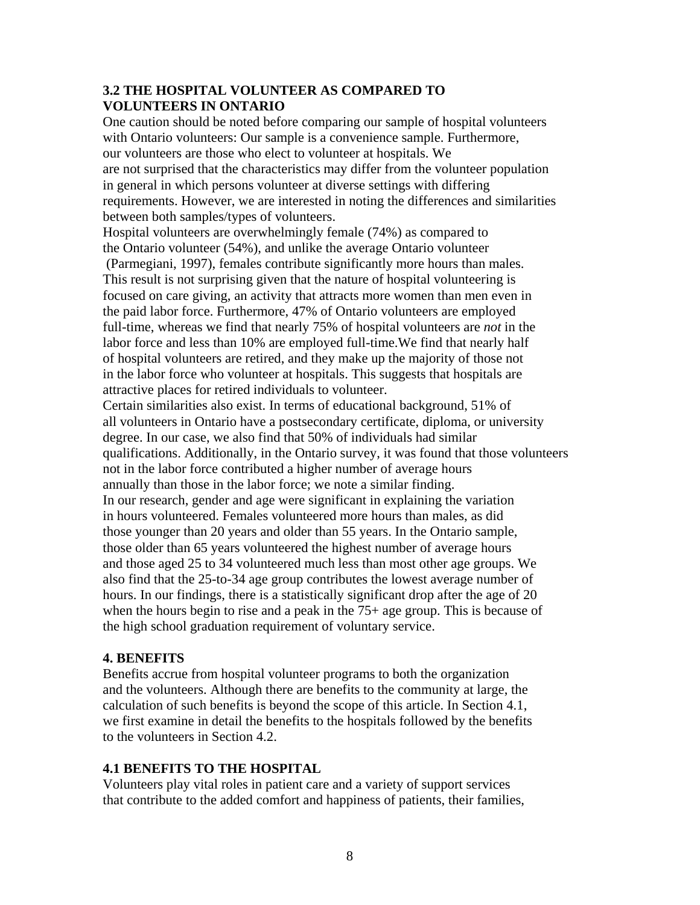### **3.2 THE HOSPITAL VOLUNTEER AS COMPARED TO VOLUNTEERS IN ONTARIO**

One caution should be noted before comparing our sample of hospital volunteers with Ontario volunteers: Our sample is a convenience sample. Furthermore, our volunteers are those who elect to volunteer at hospitals. We are not surprised that the characteristics may differ from the volunteer population in general in which persons volunteer at diverse settings with differing requirements. However, we are interested in noting the differences and similarities between both samples/types of volunteers.

Hospital volunteers are overwhelmingly female (74%) as compared to the Ontario volunteer (54%), and unlike the average Ontario volunteer (Parmegiani, 1997), females contribute significantly more hours than males. This result is not surprising given that the nature of hospital volunteering is focused on care giving, an activity that attracts more women than men even in the paid labor force. Furthermore, 47% of Ontario volunteers are employed full-time, whereas we find that nearly 75% of hospital volunteers are *not* in the labor force and less than 10% are employed full-time.We find that nearly half of hospital volunteers are retired, and they make up the majority of those not in the labor force who volunteer at hospitals. This suggests that hospitals are attractive places for retired individuals to volunteer.

Certain similarities also exist. In terms of educational background, 51% of all volunteers in Ontario have a postsecondary certificate, diploma, or university degree. In our case, we also find that 50% of individuals had similar qualifications. Additionally, in the Ontario survey, it was found that those volunteers not in the labor force contributed a higher number of average hours annually than those in the labor force; we note a similar finding. In our research, gender and age were significant in explaining the variation in hours volunteered. Females volunteered more hours than males, as did those younger than 20 years and older than 55 years. In the Ontario sample, those older than 65 years volunteered the highest number of average hours and those aged 25 to 34 volunteered much less than most other age groups. We also find that the 25-to-34 age group contributes the lowest average number of hours. In our findings, there is a statistically significant drop after the age of 20 when the hours begin to rise and a peak in the 75+ age group. This is because of the high school graduation requirement of voluntary service.

## **4. BENEFITS**

Benefits accrue from hospital volunteer programs to both the organization and the volunteers. Although there are benefits to the community at large, the calculation of such benefits is beyond the scope of this article. In Section 4.1, we first examine in detail the benefits to the hospitals followed by the benefits to the volunteers in Section 4.2.

## **4.1 BENEFITS TO THE HOSPITAL**

Volunteers play vital roles in patient care and a variety of support services that contribute to the added comfort and happiness of patients, their families,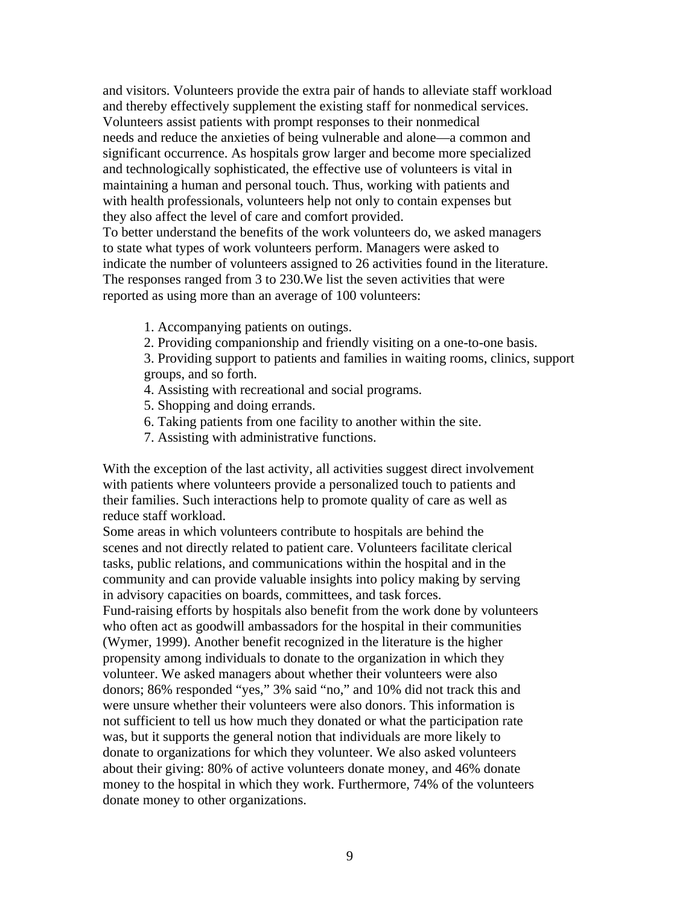and visitors. Volunteers provide the extra pair of hands to alleviate staff workload and thereby effectively supplement the existing staff for nonmedical services. Volunteers assist patients with prompt responses to their nonmedical needs and reduce the anxieties of being vulnerable and alone—a common and significant occurrence. As hospitals grow larger and become more specialized and technologically sophisticated, the effective use of volunteers is vital in maintaining a human and personal touch. Thus, working with patients and with health professionals, volunteers help not only to contain expenses but they also affect the level of care and comfort provided.

To better understand the benefits of the work volunteers do, we asked managers to state what types of work volunteers perform. Managers were asked to indicate the number of volunteers assigned to 26 activities found in the literature. The responses ranged from 3 to 230.We list the seven activities that were reported as using more than an average of 100 volunteers:

- 1. Accompanying patients on outings.
- 2. Providing companionship and friendly visiting on a one-to-one basis.
- 3. Providing support to patients and families in waiting rooms, clinics, support groups, and so forth.
- 4. Assisting with recreational and social programs.
- 5. Shopping and doing errands.
- 6. Taking patients from one facility to another within the site.
- 7. Assisting with administrative functions.

With the exception of the last activity, all activities suggest direct involvement with patients where volunteers provide a personalized touch to patients and their families. Such interactions help to promote quality of care as well as reduce staff workload.

Some areas in which volunteers contribute to hospitals are behind the scenes and not directly related to patient care. Volunteers facilitate clerical tasks, public relations, and communications within the hospital and in the community and can provide valuable insights into policy making by serving in advisory capacities on boards, committees, and task forces. Fund-raising efforts by hospitals also benefit from the work done by volunteers who often act as goodwill ambassadors for the hospital in their communities (Wymer, 1999). Another benefit recognized in the literature is the higher propensity among individuals to donate to the organization in which they volunteer. We asked managers about whether their volunteers were also donors; 86% responded "yes," 3% said "no," and 10% did not track this and were unsure whether their volunteers were also donors. This information is not sufficient to tell us how much they donated or what the participation rate was, but it supports the general notion that individuals are more likely to donate to organizations for which they volunteer. We also asked volunteers about their giving: 80% of active volunteers donate money, and 46% donate money to the hospital in which they work. Furthermore, 74% of the volunteers donate money to other organizations.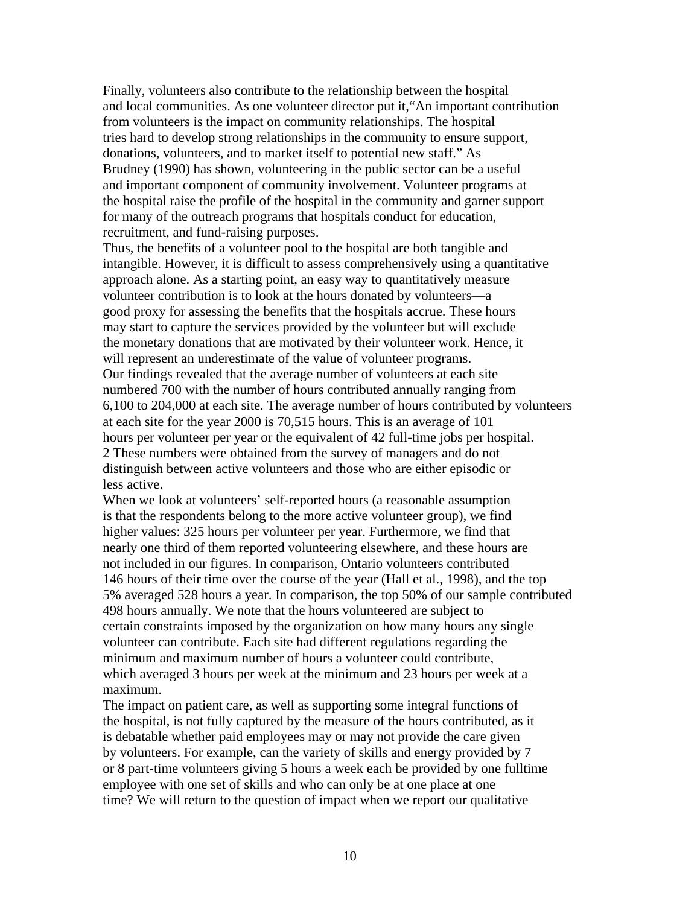Finally, volunteers also contribute to the relationship between the hospital and local communities. As one volunteer director put it,"An important contribution from volunteers is the impact on community relationships. The hospital tries hard to develop strong relationships in the community to ensure support, donations, volunteers, and to market itself to potential new staff." As Brudney (1990) has shown, volunteering in the public sector can be a useful and important component of community involvement. Volunteer programs at the hospital raise the profile of the hospital in the community and garner support for many of the outreach programs that hospitals conduct for education, recruitment, and fund-raising purposes.

Thus, the benefits of a volunteer pool to the hospital are both tangible and intangible. However, it is difficult to assess comprehensively using a quantitative approach alone. As a starting point, an easy way to quantitatively measure volunteer contribution is to look at the hours donated by volunteers—a good proxy for assessing the benefits that the hospitals accrue. These hours may start to capture the services provided by the volunteer but will exclude the monetary donations that are motivated by their volunteer work. Hence, it will represent an underestimate of the value of volunteer programs. Our findings revealed that the average number of volunteers at each site numbered 700 with the number of hours contributed annually ranging from 6,100 to 204,000 at each site. The average number of hours contributed by volunteers at each site for the year 2000 is 70,515 hours. This is an average of 101 hours per volunteer per year or the equivalent of 42 full-time jobs per hospital. 2 These numbers were obtained from the survey of managers and do not distinguish between active volunteers and those who are either episodic or less active.

When we look at volunteers' self-reported hours (a reasonable assumption is that the respondents belong to the more active volunteer group), we find higher values: 325 hours per volunteer per year. Furthermore, we find that nearly one third of them reported volunteering elsewhere, and these hours are not included in our figures. In comparison, Ontario volunteers contributed 146 hours of their time over the course of the year (Hall et al., 1998), and the top 5% averaged 528 hours a year. In comparison, the top 50% of our sample contributed 498 hours annually. We note that the hours volunteered are subject to certain constraints imposed by the organization on how many hours any single volunteer can contribute. Each site had different regulations regarding the minimum and maximum number of hours a volunteer could contribute, which averaged 3 hours per week at the minimum and 23 hours per week at a maximum.

The impact on patient care, as well as supporting some integral functions of the hospital, is not fully captured by the measure of the hours contributed, as it is debatable whether paid employees may or may not provide the care given by volunteers. For example, can the variety of skills and energy provided by 7 or 8 part-time volunteers giving 5 hours a week each be provided by one fulltime employee with one set of skills and who can only be at one place at one time? We will return to the question of impact when we report our qualitative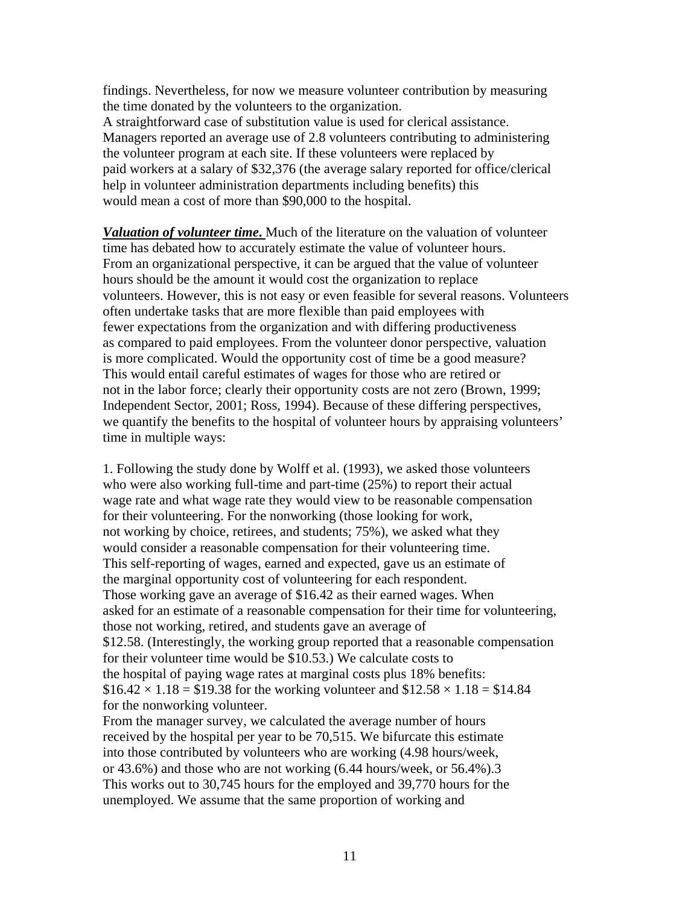findings. Nevertheless, for now we measure volunteer contribution by measuring the time donated by the volunteers to the organization. A straightforward case of substitution value is used for clerical assistance.

Managers reported an average use of 2.8 volunteers contributing to administering the volunteer program at each site. If these volunteers were replaced by paid workers at a salary of \$32,376 (the average salary reported for office/clerical help in volunteer administration departments including benefits) this would mean a cost of more than \$90,000 to the hospital.

*Valuation of volunteer time***.** Much of the literature on the valuation of volunteer time has debated how to accurately estimate the value of volunteer hours. From an organizational perspective, it can be argued that the value of volunteer hours should be the amount it would cost the organization to replace volunteers. However, this is not easy or even feasible for several reasons. Volunteers often undertake tasks that are more flexible than paid employees with fewer expectations from the organization and with differing productiveness as compared to paid employees. From the volunteer donor perspective, valuation is more complicated. Would the opportunity cost of time be a good measure? This would entail careful estimates of wages for those who are retired or not in the labor force; clearly their opportunity costs are not zero (Brown, 1999; Independent Sector, 2001; Ross, 1994). Because of these differing perspectives, we quantify the benefits to the hospital of volunteer hours by appraising volunteers' time in multiple ways:

1. Following the study done by Wolff et al. (1993), we asked those volunteers who were also working full-time and part-time (25%) to report their actual wage rate and what wage rate they would view to be reasonable compensation for their volunteering. For the nonworking (those looking for work, not working by choice, retirees, and students; 75%), we asked what they would consider a reasonable compensation for their volunteering time. This self-reporting of wages, earned and expected, gave us an estimate of the marginal opportunity cost of volunteering for each respondent. Those working gave an average of \$16.42 as their earned wages. When asked for an estimate of a reasonable compensation for their time for volunteering, those not working, retired, and students gave an average of \$12.58. (Interestingly, the working group reported that a reasonable compensation for their volunteer time would be \$10.53.) We calculate costs to the hospital of paying wage rates at marginal costs plus 18% benefits:  $$16.42 \times 1.18 = $19.38$  for the working volunteer and  $$12.58 \times 1.18 = $14.84$ for the nonworking volunteer.

From the manager survey, we calculated the average number of hours received by the hospital per year to be 70,515. We bifurcate this estimate into those contributed by volunteers who are working (4.98 hours/week, or 43.6%) and those who are not working (6.44 hours/week, or 56.4%).3 This works out to 30,745 hours for the employed and 39,770 hours for the unemployed. We assume that the same proportion of working and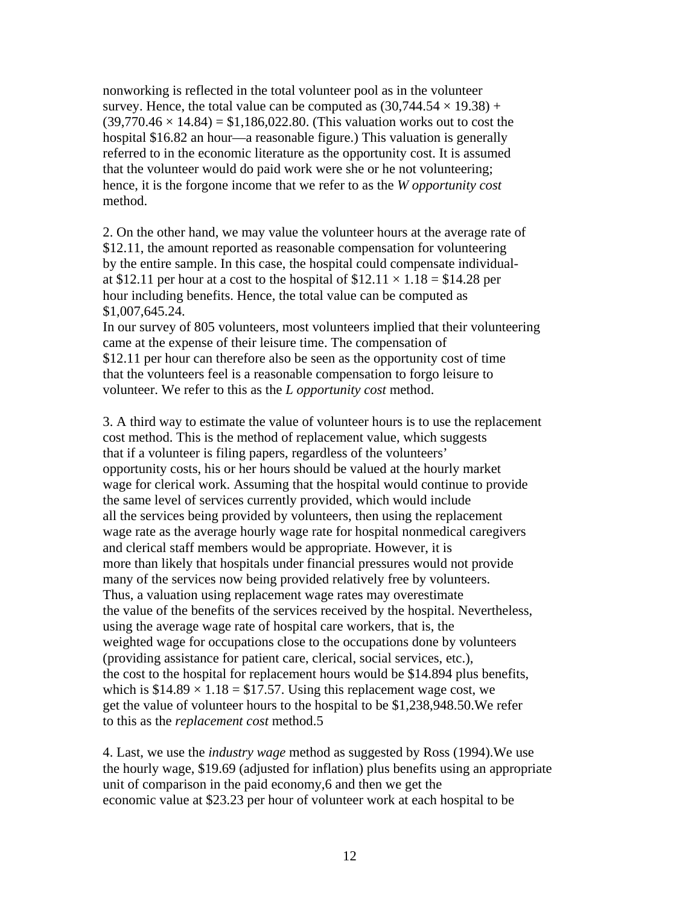nonworking is reflected in the total volunteer pool as in the volunteer survey. Hence, the total value can be computed as  $(30,744.54 \times 19.38) +$  $(39,770.46 \times 14.84) = $1,186,022.80$ . (This valuation works out to cost the hospital \$16.82 an hour—a reasonable figure.) This valuation is generally referred to in the economic literature as the opportunity cost. It is assumed that the volunteer would do paid work were she or he not volunteering; hence, it is the forgone income that we refer to as the *W opportunity cost*  method.

2. On the other hand, we may value the volunteer hours at the average rate of \$12.11, the amount reported as reasonable compensation for volunteering by the entire sample. In this case, the hospital could compensate individualat \$12.11 per hour at a cost to the hospital of  $$12.11 \times 1.18 = $14.28$  per hour including benefits. Hence, the total value can be computed as \$1,007,645.24.

In our survey of 805 volunteers, most volunteers implied that their volunteering came at the expense of their leisure time. The compensation of \$12.11 per hour can therefore also be seen as the opportunity cost of time that the volunteers feel is a reasonable compensation to forgo leisure to volunteer. We refer to this as the *L opportunity cost* method.

3. A third way to estimate the value of volunteer hours is to use the replacement cost method. This is the method of replacement value, which suggests that if a volunteer is filing papers, regardless of the volunteers' opportunity costs, his or her hours should be valued at the hourly market wage for clerical work. Assuming that the hospital would continue to provide the same level of services currently provided, which would include all the services being provided by volunteers, then using the replacement wage rate as the average hourly wage rate for hospital nonmedical caregivers and clerical staff members would be appropriate. However, it is more than likely that hospitals under financial pressures would not provide many of the services now being provided relatively free by volunteers. Thus, a valuation using replacement wage rates may overestimate the value of the benefits of the services received by the hospital. Nevertheless, using the average wage rate of hospital care workers, that is, the weighted wage for occupations close to the occupations done by volunteers (providing assistance for patient care, clerical, social services, etc.), the cost to the hospital for replacement hours would be \$14.894 plus benefits, which is  $$14.89 \times 1.18 = $17.57$ . Using this replacement wage cost, we get the value of volunteer hours to the hospital to be \$1,238,948.50.We refer to this as the *replacement cost* method.5

4. Last, we use the *industry wage* method as suggested by Ross (1994).We use the hourly wage, \$19.69 (adjusted for inflation) plus benefits using an appropriate unit of comparison in the paid economy,6 and then we get the economic value at \$23.23 per hour of volunteer work at each hospital to be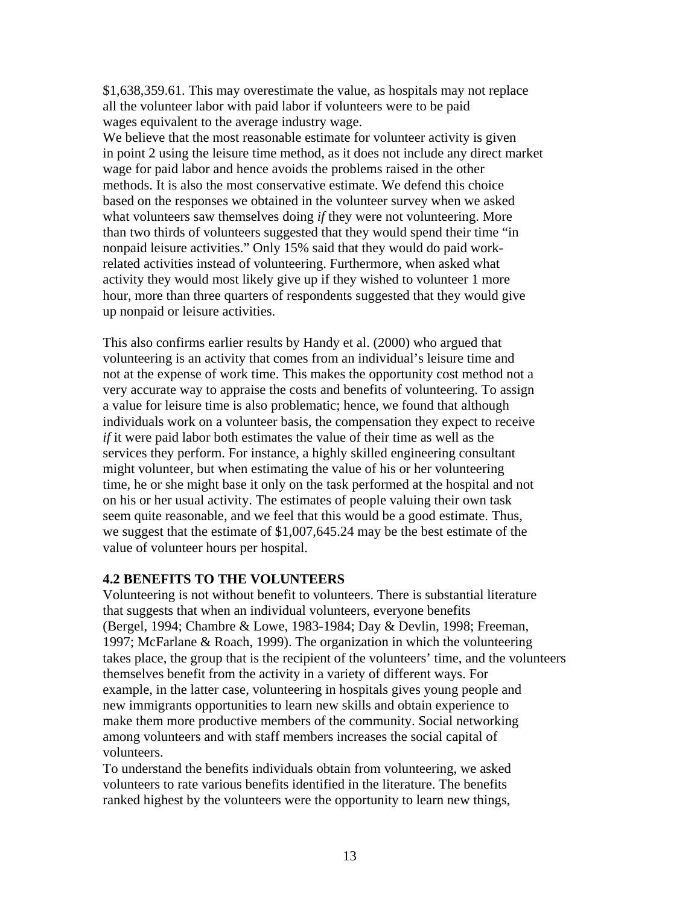\$1,638,359.61. This may overestimate the value, as hospitals may not replace all the volunteer labor with paid labor if volunteers were to be paid wages equivalent to the average industry wage.

We believe that the most reasonable estimate for volunteer activity is given in point 2 using the leisure time method, as it does not include any direct market wage for paid labor and hence avoids the problems raised in the other methods. It is also the most conservative estimate. We defend this choice based on the responses we obtained in the volunteer survey when we asked what volunteers saw themselves doing *if* they were not volunteering. More than two thirds of volunteers suggested that they would spend their time "in nonpaid leisure activities." Only 15% said that they would do paid workrelated activities instead of volunteering. Furthermore, when asked what activity they would most likely give up if they wished to volunteer 1 more hour, more than three quarters of respondents suggested that they would give up nonpaid or leisure activities.

This also confirms earlier results by Handy et al. (2000) who argued that volunteering is an activity that comes from an individual's leisure time and not at the expense of work time. This makes the opportunity cost method not a very accurate way to appraise the costs and benefits of volunteering. To assign a value for leisure time is also problematic; hence, we found that although individuals work on a volunteer basis, the compensation they expect to receive *if* it were paid labor both estimates the value of their time as well as the services they perform. For instance, a highly skilled engineering consultant might volunteer, but when estimating the value of his or her volunteering time, he or she might base it only on the task performed at the hospital and not on his or her usual activity. The estimates of people valuing their own task seem quite reasonable, and we feel that this would be a good estimate. Thus, we suggest that the estimate of \$1,007,645.24 may be the best estimate of the value of volunteer hours per hospital.

#### **4.2 BENEFITS TO THE VOLUNTEERS**

Volunteering is not without benefit to volunteers. There is substantial literature that suggests that when an individual volunteers, everyone benefits (Bergel, 1994; Chambre & Lowe, 1983-1984; Day & Devlin, 1998; Freeman, 1997; McFarlane & Roach, 1999). The organization in which the volunteering takes place, the group that is the recipient of the volunteers' time, and the volunteers themselves benefit from the activity in a variety of different ways. For example, in the latter case, volunteering in hospitals gives young people and new immigrants opportunities to learn new skills and obtain experience to make them more productive members of the community. Social networking among volunteers and with staff members increases the social capital of volunteers.

To understand the benefits individuals obtain from volunteering, we asked volunteers to rate various benefits identified in the literature. The benefits ranked highest by the volunteers were the opportunity to learn new things,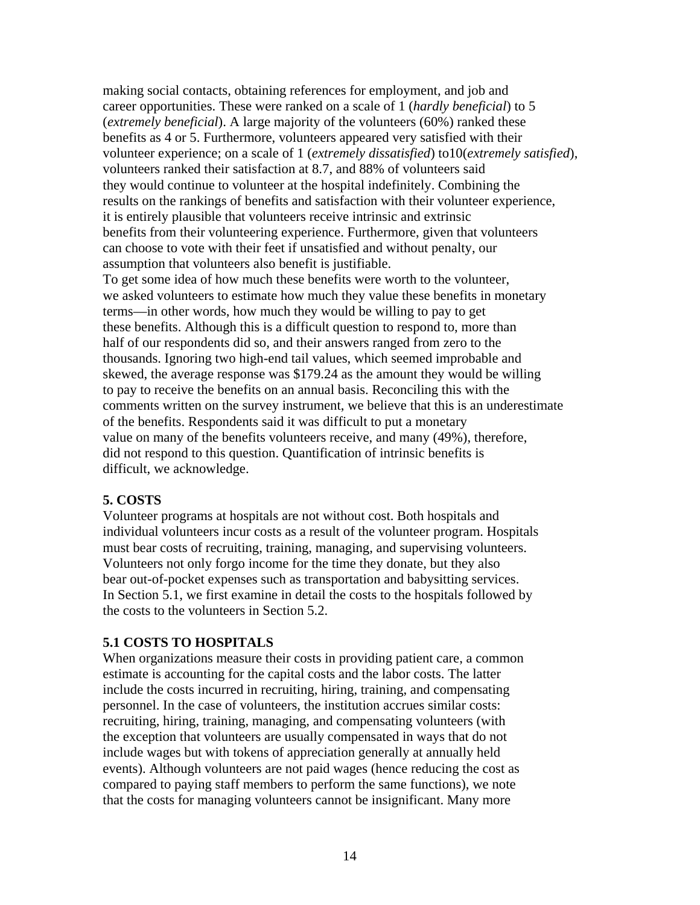making social contacts, obtaining references for employment, and job and career opportunities. These were ranked on a scale of 1 (*hardly beneficial*) to 5 (*extremely beneficial*). A large majority of the volunteers (60%) ranked these benefits as 4 or 5. Furthermore, volunteers appeared very satisfied with their volunteer experience; on a scale of 1 (*extremely dissatisfied*) to10(*extremely satisfied*), volunteers ranked their satisfaction at 8.7, and 88% of volunteers said they would continue to volunteer at the hospital indefinitely. Combining the results on the rankings of benefits and satisfaction with their volunteer experience, it is entirely plausible that volunteers receive intrinsic and extrinsic benefits from their volunteering experience. Furthermore, given that volunteers can choose to vote with their feet if unsatisfied and without penalty, our assumption that volunteers also benefit is justifiable.

To get some idea of how much these benefits were worth to the volunteer, we asked volunteers to estimate how much they value these benefits in monetary terms—in other words, how much they would be willing to pay to get these benefits. Although this is a difficult question to respond to, more than half of our respondents did so, and their answers ranged from zero to the thousands. Ignoring two high-end tail values, which seemed improbable and skewed, the average response was \$179.24 as the amount they would be willing to pay to receive the benefits on an annual basis. Reconciling this with the comments written on the survey instrument, we believe that this is an underestimate of the benefits. Respondents said it was difficult to put a monetary value on many of the benefits volunteers receive, and many (49%), therefore, did not respond to this question. Quantification of intrinsic benefits is difficult, we acknowledge.

#### **5. COSTS**

Volunteer programs at hospitals are not without cost. Both hospitals and individual volunteers incur costs as a result of the volunteer program. Hospitals must bear costs of recruiting, training, managing, and supervising volunteers. Volunteers not only forgo income for the time they donate, but they also bear out-of-pocket expenses such as transportation and babysitting services. In Section 5.1, we first examine in detail the costs to the hospitals followed by the costs to the volunteers in Section 5.2.

## **5.1 COSTS TO HOSPITALS**

When organizations measure their costs in providing patient care, a common estimate is accounting for the capital costs and the labor costs. The latter include the costs incurred in recruiting, hiring, training, and compensating personnel. In the case of volunteers, the institution accrues similar costs: recruiting, hiring, training, managing, and compensating volunteers (with the exception that volunteers are usually compensated in ways that do not include wages but with tokens of appreciation generally at annually held events). Although volunteers are not paid wages (hence reducing the cost as compared to paying staff members to perform the same functions), we note that the costs for managing volunteers cannot be insignificant. Many more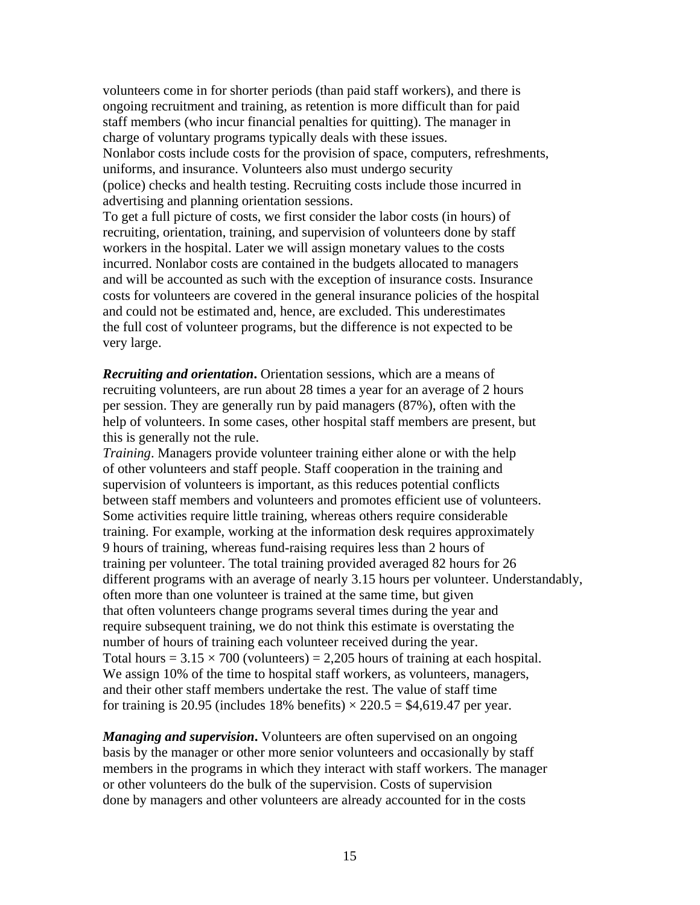volunteers come in for shorter periods (than paid staff workers), and there is ongoing recruitment and training, as retention is more difficult than for paid staff members (who incur financial penalties for quitting). The manager in charge of voluntary programs typically deals with these issues. Nonlabor costs include costs for the provision of space, computers, refreshments, uniforms, and insurance. Volunteers also must undergo security (police) checks and health testing. Recruiting costs include those incurred in advertising and planning orientation sessions. To get a full picture of costs, we first consider the labor costs (in hours) of

recruiting, orientation, training, and supervision of volunteers done by staff workers in the hospital. Later we will assign monetary values to the costs incurred. Nonlabor costs are contained in the budgets allocated to managers and will be accounted as such with the exception of insurance costs. Insurance costs for volunteers are covered in the general insurance policies of the hospital and could not be estimated and, hence, are excluded. This underestimates the full cost of volunteer programs, but the difference is not expected to be very large.

*Recruiting and orientation***.** Orientation sessions, which are a means of recruiting volunteers, are run about 28 times a year for an average of 2 hours per session. They are generally run by paid managers (87%), often with the help of volunteers. In some cases, other hospital staff members are present, but this is generally not the rule.

*Training*. Managers provide volunteer training either alone or with the help of other volunteers and staff people. Staff cooperation in the training and supervision of volunteers is important, as this reduces potential conflicts between staff members and volunteers and promotes efficient use of volunteers. Some activities require little training, whereas others require considerable training. For example, working at the information desk requires approximately 9 hours of training, whereas fund-raising requires less than 2 hours of training per volunteer. The total training provided averaged 82 hours for 26 different programs with an average of nearly 3.15 hours per volunteer. Understandably, often more than one volunteer is trained at the same time, but given that often volunteers change programs several times during the year and require subsequent training, we do not think this estimate is overstating the number of hours of training each volunteer received during the year. Total hours =  $3.15 \times 700$  (volunteers) = 2,205 hours of training at each hospital. We assign 10% of the time to hospital staff workers, as volunteers, managers, and their other staff members undertake the rest. The value of staff time for training is 20.95 (includes 18% benefits)  $\times$  220.5 = \$4,619.47 per year.

*Managing and supervision***.** Volunteers are often supervised on an ongoing basis by the manager or other more senior volunteers and occasionally by staff members in the programs in which they interact with staff workers. The manager or other volunteers do the bulk of the supervision. Costs of supervision done by managers and other volunteers are already accounted for in the costs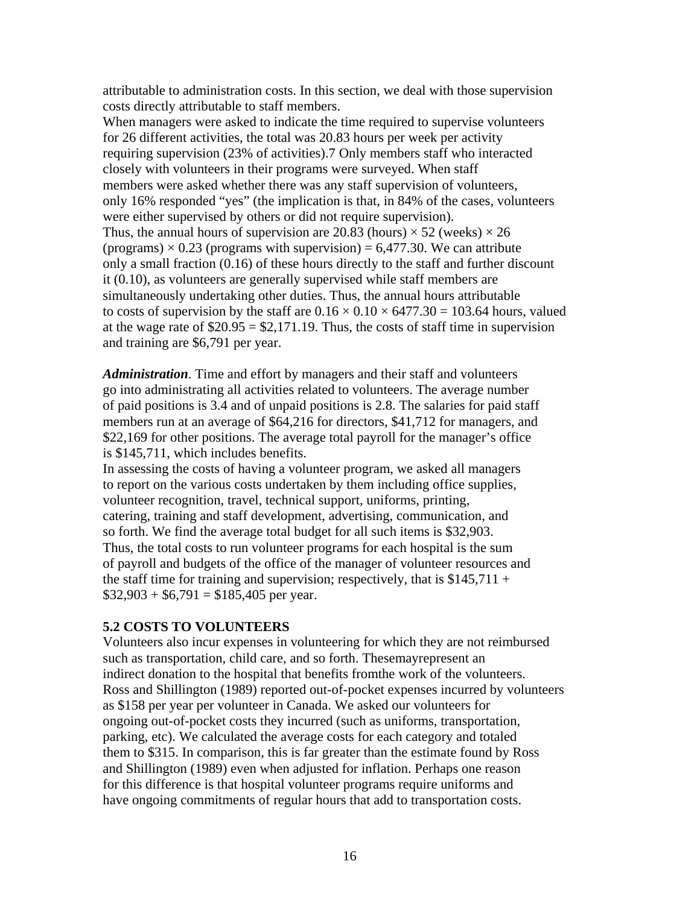attributable to administration costs. In this section, we deal with those supervision costs directly attributable to staff members.

When managers were asked to indicate the time required to supervise volunteers for 26 different activities, the total was 20.83 hours per week per activity requiring supervision (23% of activities).7 Only members staff who interacted closely with volunteers in their programs were surveyed. When staff members were asked whether there was any staff supervision of volunteers, only 16% responded "yes" (the implication is that, in 84% of the cases, volunteers were either supervised by others or did not require supervision). Thus, the annual hours of supervision are 20.83 (hours)  $\times$  52 (weeks)  $\times$  26 (programs)  $\times$  0.23 (programs with supervision) = 6,477.30. We can attribute only a small fraction (0.16) of these hours directly to the staff and further discount it (0.10), as volunteers are generally supervised while staff members are simultaneously undertaking other duties. Thus, the annual hours attributable to costs of supervision by the staff are  $0.16 \times 0.10 \times 6477.30 = 103.64$  hours, valued at the wage rate of  $$20.95 = $2,171.19$ . Thus, the costs of staff time in supervision and training are \$6,791 per year.

*Administration*. Time and effort by managers and their staff and volunteers go into administrating all activities related to volunteers. The average number of paid positions is 3.4 and of unpaid positions is 2.8. The salaries for paid staff members run at an average of \$64,216 for directors, \$41,712 for managers, and \$22,169 for other positions. The average total payroll for the manager's office is \$145,711, which includes benefits.

In assessing the costs of having a volunteer program, we asked all managers to report on the various costs undertaken by them including office supplies, volunteer recognition, travel, technical support, uniforms, printing, catering, training and staff development, advertising, communication, and so forth. We find the average total budget for all such items is \$32,903. Thus, the total costs to run volunteer programs for each hospital is the sum of payroll and budgets of the office of the manager of volunteer resources and the staff time for training and supervision; respectively, that is  $$145,711 +$  $$32,903 + $6,791 = $185,405$  per year.

#### **5.2 COSTS TO VOLUNTEERS**

Volunteers also incur expenses in volunteering for which they are not reimbursed such as transportation, child care, and so forth. Thesemayrepresent an indirect donation to the hospital that benefits fromthe work of the volunteers. Ross and Shillington (1989) reported out-of-pocket expenses incurred by volunteers as \$158 per year per volunteer in Canada. We asked our volunteers for ongoing out-of-pocket costs they incurred (such as uniforms, transportation, parking, etc). We calculated the average costs for each category and totaled them to \$315. In comparison, this is far greater than the estimate found by Ross and Shillington (1989) even when adjusted for inflation. Perhaps one reason for this difference is that hospital volunteer programs require uniforms and have ongoing commitments of regular hours that add to transportation costs.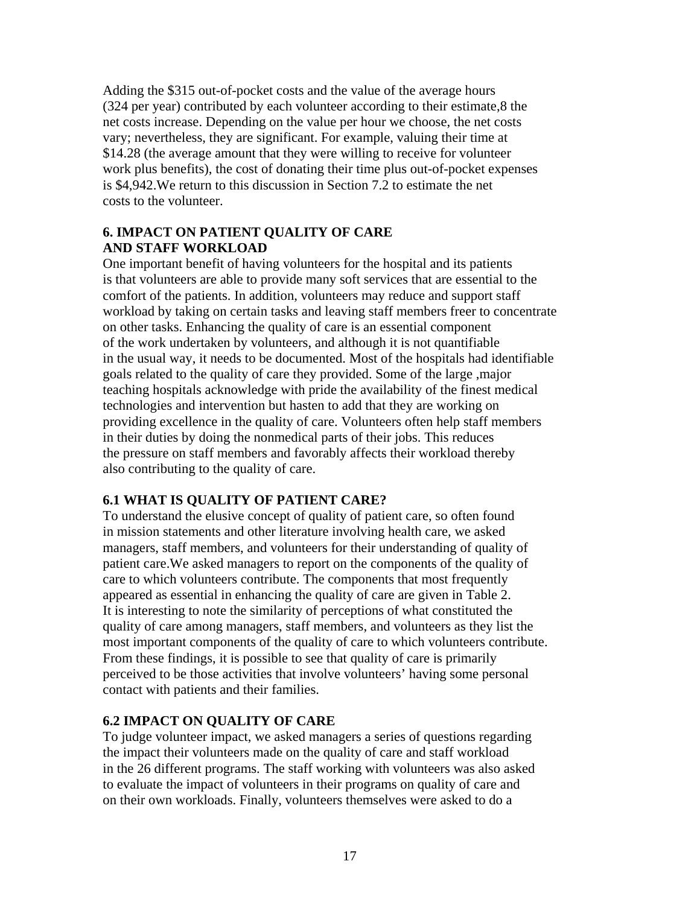Adding the \$315 out-of-pocket costs and the value of the average hours (324 per year) contributed by each volunteer according to their estimate,8 the net costs increase. Depending on the value per hour we choose, the net costs vary; nevertheless, they are significant. For example, valuing their time at \$14.28 (the average amount that they were willing to receive for volunteer work plus benefits), the cost of donating their time plus out-of-pocket expenses is \$4,942.We return to this discussion in Section 7.2 to estimate the net costs to the volunteer.

## **6. IMPACT ON PATIENT QUALITY OF CARE AND STAFF WORKLOAD**

One important benefit of having volunteers for the hospital and its patients is that volunteers are able to provide many soft services that are essential to the comfort of the patients. In addition, volunteers may reduce and support staff workload by taking on certain tasks and leaving staff members freer to concentrate on other tasks. Enhancing the quality of care is an essential component of the work undertaken by volunteers, and although it is not quantifiable in the usual way, it needs to be documented. Most of the hospitals had identifiable goals related to the quality of care they provided. Some of the large ,major teaching hospitals acknowledge with pride the availability of the finest medical technologies and intervention but hasten to add that they are working on providing excellence in the quality of care. Volunteers often help staff members in their duties by doing the nonmedical parts of their jobs. This reduces the pressure on staff members and favorably affects their workload thereby also contributing to the quality of care.

## **6.1 WHAT IS QUALITY OF PATIENT CARE?**

To understand the elusive concept of quality of patient care, so often found in mission statements and other literature involving health care, we asked managers, staff members, and volunteers for their understanding of quality of patient care.We asked managers to report on the components of the quality of care to which volunteers contribute. The components that most frequently appeared as essential in enhancing the quality of care are given in Table 2. It is interesting to note the similarity of perceptions of what constituted the quality of care among managers, staff members, and volunteers as they list the most important components of the quality of care to which volunteers contribute. From these findings, it is possible to see that quality of care is primarily perceived to be those activities that involve volunteers' having some personal contact with patients and their families.

## **6.2 IMPACT ON QUALITY OF CARE**

To judge volunteer impact, we asked managers a series of questions regarding the impact their volunteers made on the quality of care and staff workload in the 26 different programs. The staff working with volunteers was also asked to evaluate the impact of volunteers in their programs on quality of care and on their own workloads. Finally, volunteers themselves were asked to do a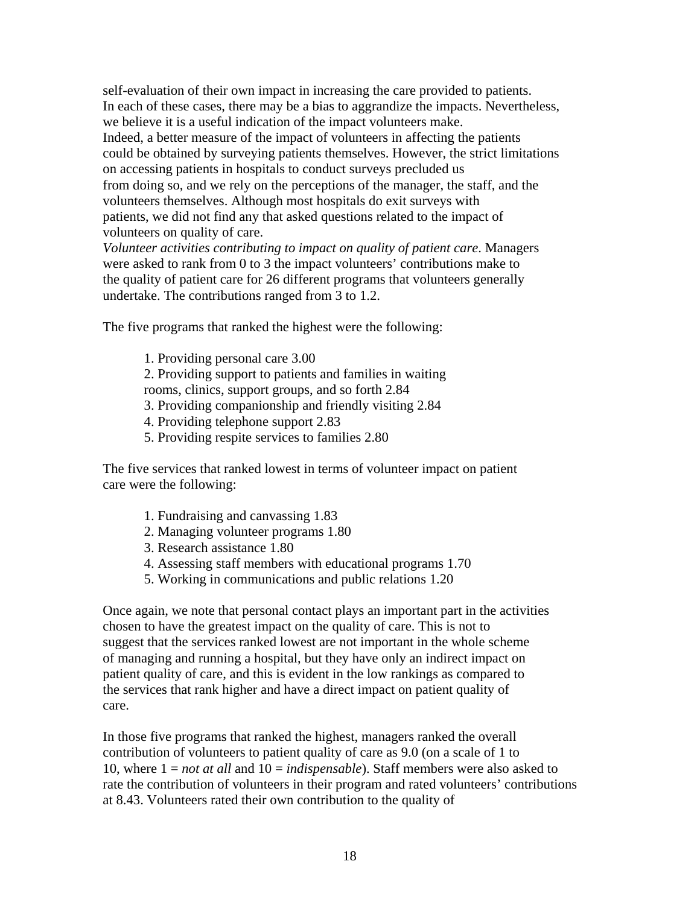self-evaluation of their own impact in increasing the care provided to patients. In each of these cases, there may be a bias to aggrandize the impacts. Nevertheless, we believe it is a useful indication of the impact volunteers make. Indeed, a better measure of the impact of volunteers in affecting the patients could be obtained by surveying patients themselves. However, the strict limitations on accessing patients in hospitals to conduct surveys precluded us from doing so, and we rely on the perceptions of the manager, the staff, and the volunteers themselves. Although most hospitals do exit surveys with patients, we did not find any that asked questions related to the impact of volunteers on quality of care.

*Volunteer activities contributing to impact on quality of patient care*. Managers were asked to rank from 0 to 3 the impact volunteers' contributions make to the quality of patient care for 26 different programs that volunteers generally undertake. The contributions ranged from 3 to 1.2.

The five programs that ranked the highest were the following:

1. Providing personal care 3.00 2. Providing support to patients and families in waiting rooms, clinics, support groups, and so forth 2.84 3. Providing companionship and friendly visiting 2.84 4. Providing telephone support 2.83

5. Providing respite services to families 2.80

The five services that ranked lowest in terms of volunteer impact on patient care were the following:

- 1. Fundraising and canvassing 1.83
- 2. Managing volunteer programs 1.80
- 3. Research assistance 1.80
- 4. Assessing staff members with educational programs 1.70
- 5. Working in communications and public relations 1.20

Once again, we note that personal contact plays an important part in the activities chosen to have the greatest impact on the quality of care. This is not to suggest that the services ranked lowest are not important in the whole scheme of managing and running a hospital, but they have only an indirect impact on patient quality of care, and this is evident in the low rankings as compared to the services that rank higher and have a direct impact on patient quality of care.

In those five programs that ranked the highest, managers ranked the overall contribution of volunteers to patient quality of care as 9.0 (on a scale of 1 to 10, where 1 = *not at all* and 10 = *indispensable*). Staff members were also asked to rate the contribution of volunteers in their program and rated volunteers' contributions at 8.43. Volunteers rated their own contribution to the quality of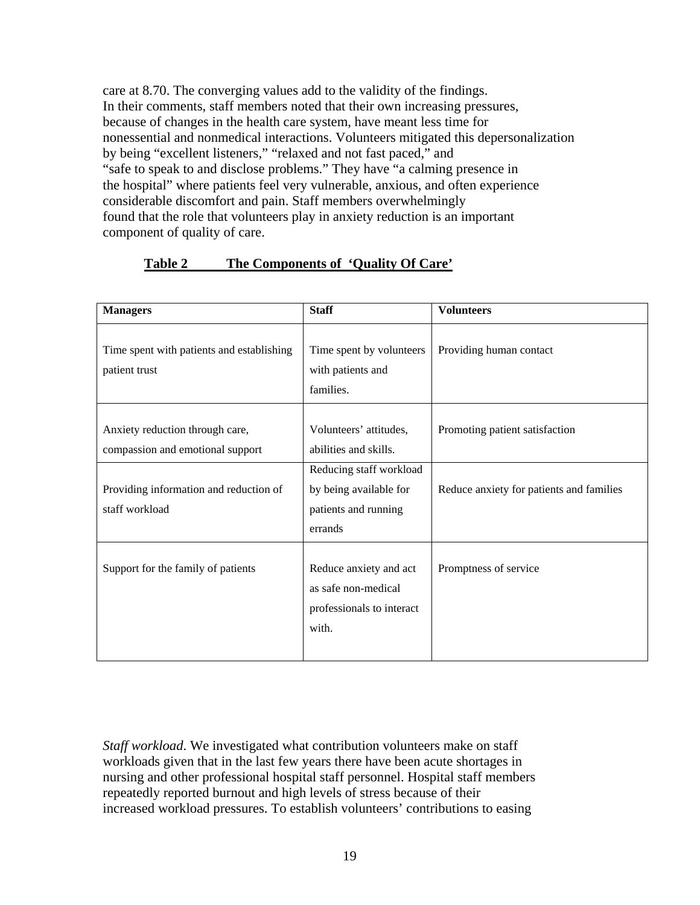care at 8.70. The converging values add to the validity of the findings. In their comments, staff members noted that their own increasing pressures, because of changes in the health care system, have meant less time for nonessential and nonmedical interactions. Volunteers mitigated this depersonalization by being "excellent listeners," "relaxed and not fast paced," and "safe to speak to and disclose problems." They have "a calming presence in the hospital" where patients feel very vulnerable, anxious, and often experience considerable discomfort and pain. Staff members overwhelmingly found that the role that volunteers play in anxiety reduction is an important component of quality of care.

| <b>Managers</b>                                                     | <b>Staff</b>                                                                         | <b>Volunteers</b>                        |
|---------------------------------------------------------------------|--------------------------------------------------------------------------------------|------------------------------------------|
| Time spent with patients and establishing<br>patient trust          | Time spent by volunteers<br>with patients and<br>families.                           | Providing human contact                  |
| Anxiety reduction through care,<br>compassion and emotional support | Volunteers' attitudes,<br>abilities and skills.                                      | Promoting patient satisfaction           |
| Providing information and reduction of<br>staff workload            | Reducing staff workload<br>by being available for<br>patients and running<br>errands | Reduce anxiety for patients and families |
| Support for the family of patients                                  | Reduce anxiety and act<br>as safe non-medical<br>professionals to interact<br>with.  | Promptness of service                    |

## **Table 2 The Components of 'Quality Of Care'**

*Staff workload*. We investigated what contribution volunteers make on staff workloads given that in the last few years there have been acute shortages in nursing and other professional hospital staff personnel. Hospital staff members repeatedly reported burnout and high levels of stress because of their increased workload pressures. To establish volunteers' contributions to easing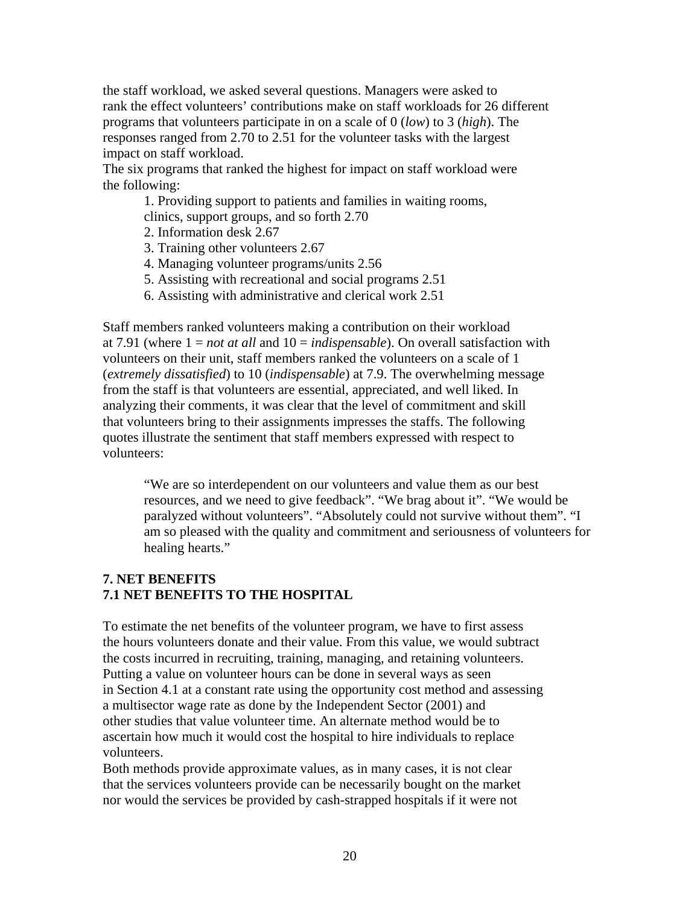the staff workload, we asked several questions. Managers were asked to rank the effect volunteers' contributions make on staff workloads for 26 different programs that volunteers participate in on a scale of 0 (*low*) to 3 (*high*). The responses ranged from 2.70 to 2.51 for the volunteer tasks with the largest impact on staff workload.

The six programs that ranked the highest for impact on staff workload were the following:

- 1. Providing support to patients and families in waiting rooms, clinics, support groups, and so forth 2.70
- 2. Information desk 2.67
- 3. Training other volunteers 2.67
- 4. Managing volunteer programs/units 2.56
- 5. Assisting with recreational and social programs 2.51
- 6. Assisting with administrative and clerical work 2.51

Staff members ranked volunteers making a contribution on their workload at 7.91 (where 1 = *not at all* and 10 = *indispensable*). On overall satisfaction with volunteers on their unit, staff members ranked the volunteers on a scale of 1 (*extremely dissatisfied*) to 10 (*indispensable*) at 7.9. The overwhelming message from the staff is that volunteers are essential, appreciated, and well liked. In analyzing their comments, it was clear that the level of commitment and skill that volunteers bring to their assignments impresses the staffs. The following quotes illustrate the sentiment that staff members expressed with respect to volunteers:

"We are so interdependent on our volunteers and value them as our best resources, and we need to give feedback". "We brag about it". "We would be paralyzed without volunteers". "Absolutely could not survive without them". "I am so pleased with the quality and commitment and seriousness of volunteers for healing hearts."

## **7. NET BENEFITS 7.1 NET BENEFITS TO THE HOSPITAL**

To estimate the net benefits of the volunteer program, we have to first assess the hours volunteers donate and their value. From this value, we would subtract the costs incurred in recruiting, training, managing, and retaining volunteers. Putting a value on volunteer hours can be done in several ways as seen in Section 4.1 at a constant rate using the opportunity cost method and assessing a multisector wage rate as done by the Independent Sector (2001) and other studies that value volunteer time. An alternate method would be to ascertain how much it would cost the hospital to hire individuals to replace volunteers.

Both methods provide approximate values, as in many cases, it is not clear that the services volunteers provide can be necessarily bought on the market nor would the services be provided by cash-strapped hospitals if it were not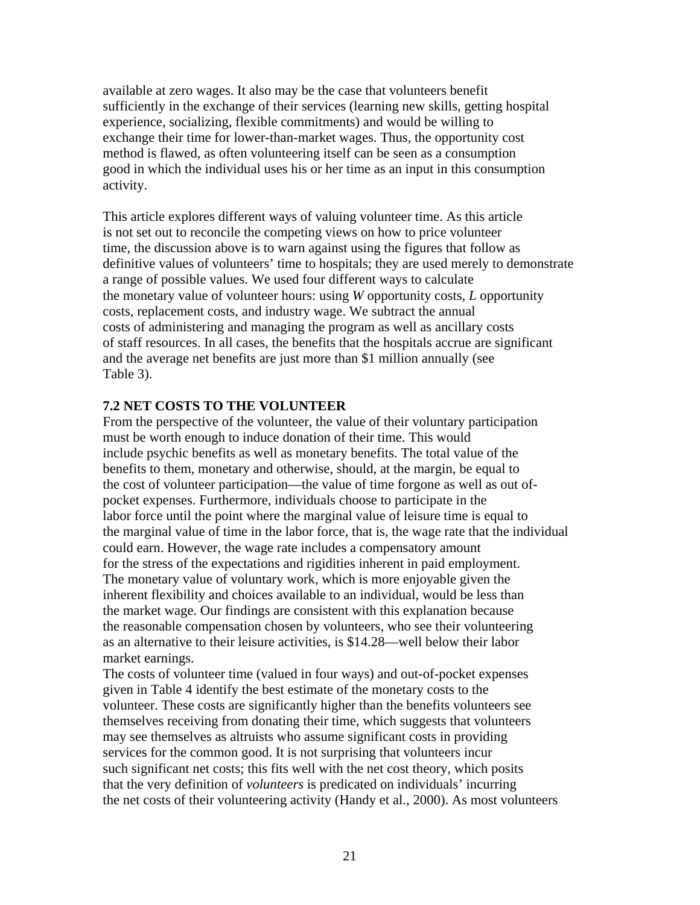available at zero wages. It also may be the case that volunteers benefit sufficiently in the exchange of their services (learning new skills, getting hospital experience, socializing, flexible commitments) and would be willing to exchange their time for lower-than-market wages. Thus, the opportunity cost method is flawed, as often volunteering itself can be seen as a consumption good in which the individual uses his or her time as an input in this consumption activity.

This article explores different ways of valuing volunteer time. As this article is not set out to reconcile the competing views on how to price volunteer time, the discussion above is to warn against using the figures that follow as definitive values of volunteers' time to hospitals; they are used merely to demonstrate a range of possible values. We used four different ways to calculate the monetary value of volunteer hours: using *W* opportunity costs, *L* opportunity costs, replacement costs, and industry wage. We subtract the annual costs of administering and managing the program as well as ancillary costs of staff resources. In all cases, the benefits that the hospitals accrue are significant and the average net benefits are just more than \$1 million annually (see Table 3).

#### **7.2 NET COSTS TO THE VOLUNTEER**

From the perspective of the volunteer, the value of their voluntary participation must be worth enough to induce donation of their time. This would include psychic benefits as well as monetary benefits. The total value of the benefits to them, monetary and otherwise, should, at the margin, be equal to the cost of volunteer participation—the value of time forgone as well as out ofpocket expenses. Furthermore, individuals choose to participate in the labor force until the point where the marginal value of leisure time is equal to the marginal value of time in the labor force, that is, the wage rate that the individual could earn. However, the wage rate includes a compensatory amount for the stress of the expectations and rigidities inherent in paid employment. The monetary value of voluntary work, which is more enjoyable given the inherent flexibility and choices available to an individual, would be less than the market wage. Our findings are consistent with this explanation because the reasonable compensation chosen by volunteers, who see their volunteering as an alternative to their leisure activities, is \$14.28—well below their labor market earnings.

The costs of volunteer time (valued in four ways) and out-of-pocket expenses given in Table 4 identify the best estimate of the monetary costs to the volunteer. These costs are significantly higher than the benefits volunteers see themselves receiving from donating their time, which suggests that volunteers may see themselves as altruists who assume significant costs in providing services for the common good. It is not surprising that volunteers incur such significant net costs; this fits well with the net cost theory, which posits that the very definition of *volunteers* is predicated on individuals' incurring the net costs of their volunteering activity (Handy et al., 2000). As most volunteers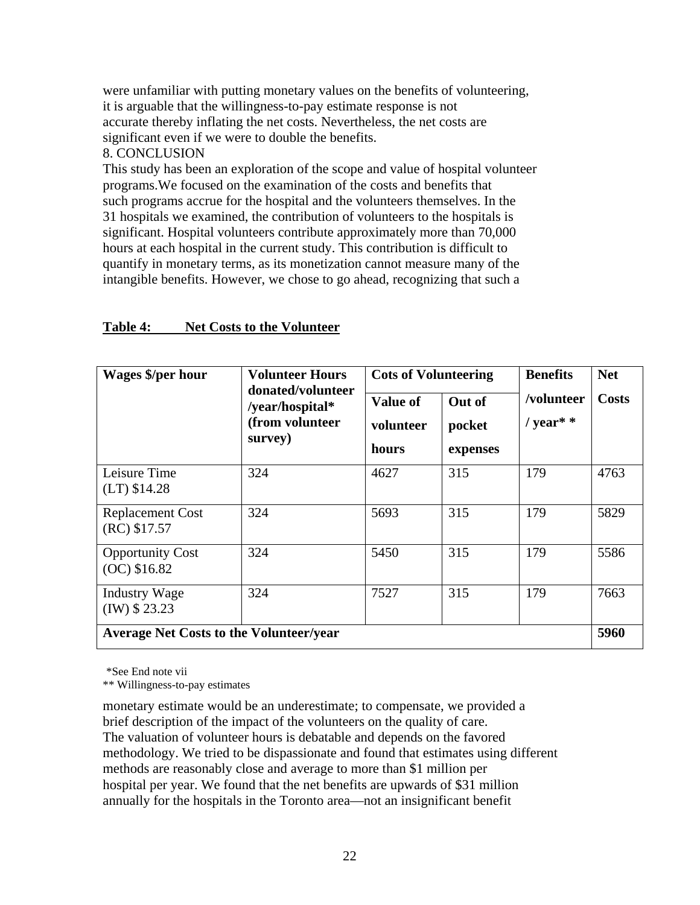were unfamiliar with putting monetary values on the benefits of volunteering, it is arguable that the willingness-to-pay estimate response is not accurate thereby inflating the net costs. Nevertheless, the net costs are significant even if we were to double the benefits. 8. CONCLUSION

This study has been an exploration of the scope and value of hospital volunteer programs.We focused on the examination of the costs and benefits that such programs accrue for the hospital and the volunteers themselves. In the 31 hospitals we examined, the contribution of volunteers to the hospitals is significant. Hospital volunteers contribute approximately more than 70,000 hours at each hospital in the current study. This contribution is difficult to quantify in monetary terms, as its monetization cannot measure many of the intangible benefits. However, we chose to go ahead, recognizing that such a

| Wages \$/per hour                              | <b>Volunteer Hours</b><br>donated/volunteer<br>/year/hospital*<br>(from volunteer<br>survey) | <b>Cots of Volunteering</b>           |                              | <b>Benefits</b>         | <b>Net</b><br><b>Costs</b> |  |
|------------------------------------------------|----------------------------------------------------------------------------------------------|---------------------------------------|------------------------------|-------------------------|----------------------------|--|
|                                                |                                                                                              | <b>Value of</b><br>volunteer<br>hours | Out of<br>pocket<br>expenses | /volunteer<br>/ year* * |                            |  |
| Leisure Time<br>$(LT)$ \$14.28                 | 324                                                                                          | 4627                                  | 315                          | 179                     | 4763                       |  |
| <b>Replacement Cost</b><br>(RC) \$17.57        | 324                                                                                          | 5693                                  | 315                          | 179                     | 5829                       |  |
| <b>Opportunity Cost</b><br>(OC) \$16.82        | 324                                                                                          | 5450                                  | 315                          | 179                     | 5586                       |  |
| <b>Industry Wage</b><br>$(IW)$ \$ 23.23        | 324                                                                                          | 7527                                  | 315                          | 179                     | 7663                       |  |
| <b>Average Net Costs to the Volunteer/year</b> |                                                                                              |                                       |                              |                         |                            |  |

#### **Table 4: Net Costs to the Volunteer**

\*See End note vii

\*\* Willingness-to-pay estimates

monetary estimate would be an underestimate; to compensate, we provided a brief description of the impact of the volunteers on the quality of care. The valuation of volunteer hours is debatable and depends on the favored methodology. We tried to be dispassionate and found that estimates using different methods are reasonably close and average to more than \$1 million per hospital per year. We found that the net benefits are upwards of \$31 million annually for the hospitals in the Toronto area—not an insignificant benefit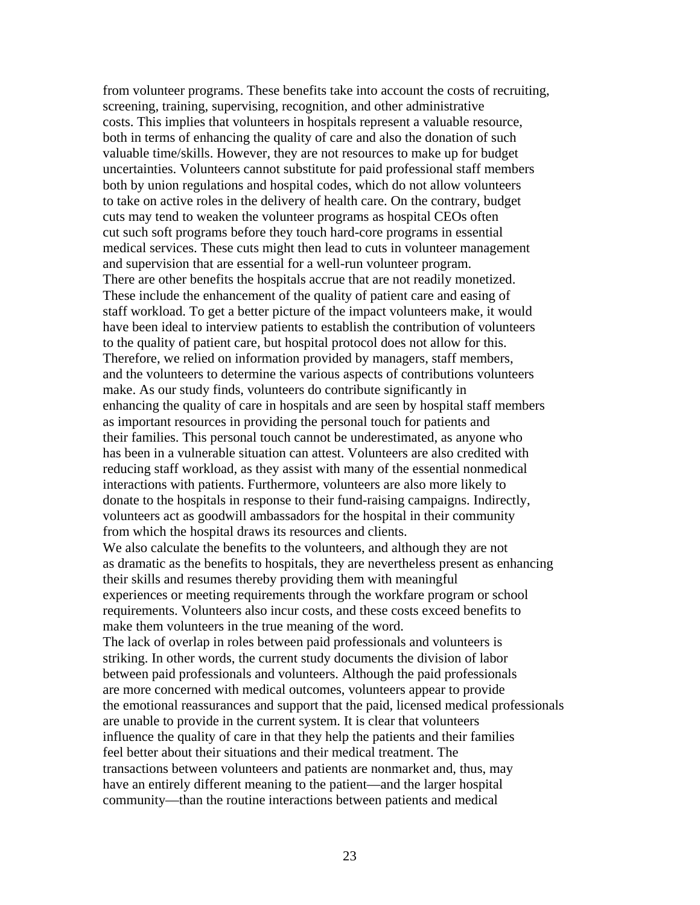from volunteer programs. These benefits take into account the costs of recruiting, screening, training, supervising, recognition, and other administrative costs. This implies that volunteers in hospitals represent a valuable resource, both in terms of enhancing the quality of care and also the donation of such valuable time/skills. However, they are not resources to make up for budget uncertainties. Volunteers cannot substitute for paid professional staff members both by union regulations and hospital codes, which do not allow volunteers to take on active roles in the delivery of health care. On the contrary, budget cuts may tend to weaken the volunteer programs as hospital CEOs often cut such soft programs before they touch hard-core programs in essential medical services. These cuts might then lead to cuts in volunteer management and supervision that are essential for a well-run volunteer program. There are other benefits the hospitals accrue that are not readily monetized. These include the enhancement of the quality of patient care and easing of staff workload. To get a better picture of the impact volunteers make, it would have been ideal to interview patients to establish the contribution of volunteers to the quality of patient care, but hospital protocol does not allow for this. Therefore, we relied on information provided by managers, staff members, and the volunteers to determine the various aspects of contributions volunteers make. As our study finds, volunteers do contribute significantly in enhancing the quality of care in hospitals and are seen by hospital staff members as important resources in providing the personal touch for patients and their families. This personal touch cannot be underestimated, as anyone who has been in a vulnerable situation can attest. Volunteers are also credited with reducing staff workload, as they assist with many of the essential nonmedical interactions with patients. Furthermore, volunteers are also more likely to donate to the hospitals in response to their fund-raising campaigns. Indirectly, volunteers act as goodwill ambassadors for the hospital in their community from which the hospital draws its resources and clients.

We also calculate the benefits to the volunteers, and although they are not as dramatic as the benefits to hospitals, they are nevertheless present as enhancing their skills and resumes thereby providing them with meaningful experiences or meeting requirements through the workfare program or school requirements. Volunteers also incur costs, and these costs exceed benefits to make them volunteers in the true meaning of the word.

The lack of overlap in roles between paid professionals and volunteers is striking. In other words, the current study documents the division of labor between paid professionals and volunteers. Although the paid professionals are more concerned with medical outcomes, volunteers appear to provide the emotional reassurances and support that the paid, licensed medical professionals are unable to provide in the current system. It is clear that volunteers influence the quality of care in that they help the patients and their families feel better about their situations and their medical treatment. The transactions between volunteers and patients are nonmarket and, thus, may have an entirely different meaning to the patient—and the larger hospital community—than the routine interactions between patients and medical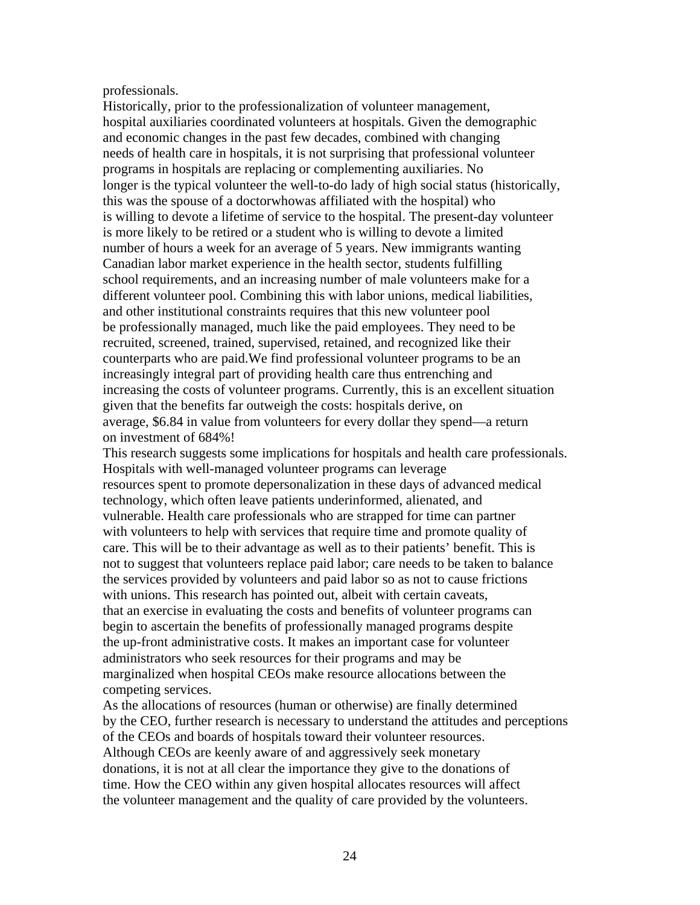#### professionals.

Historically, prior to the professionalization of volunteer management, hospital auxiliaries coordinated volunteers at hospitals. Given the demographic and economic changes in the past few decades, combined with changing needs of health care in hospitals, it is not surprising that professional volunteer programs in hospitals are replacing or complementing auxiliaries. No longer is the typical volunteer the well-to-do lady of high social status (historically, this was the spouse of a doctorwhowas affiliated with the hospital) who is willing to devote a lifetime of service to the hospital. The present-day volunteer is more likely to be retired or a student who is willing to devote a limited number of hours a week for an average of 5 years. New immigrants wanting Canadian labor market experience in the health sector, students fulfilling school requirements, and an increasing number of male volunteers make for a different volunteer pool. Combining this with labor unions, medical liabilities, and other institutional constraints requires that this new volunteer pool be professionally managed, much like the paid employees. They need to be recruited, screened, trained, supervised, retained, and recognized like their counterparts who are paid.We find professional volunteer programs to be an increasingly integral part of providing health care thus entrenching and increasing the costs of volunteer programs. Currently, this is an excellent situation given that the benefits far outweigh the costs: hospitals derive, on average, \$6.84 in value from volunteers for every dollar they spend—a return on investment of 684%!

This research suggests some implications for hospitals and health care professionals. Hospitals with well-managed volunteer programs can leverage resources spent to promote depersonalization in these days of advanced medical technology, which often leave patients underinformed, alienated, and vulnerable. Health care professionals who are strapped for time can partner with volunteers to help with services that require time and promote quality of care. This will be to their advantage as well as to their patients' benefit. This is not to suggest that volunteers replace paid labor; care needs to be taken to balance the services provided by volunteers and paid labor so as not to cause frictions with unions. This research has pointed out, albeit with certain caveats, that an exercise in evaluating the costs and benefits of volunteer programs can begin to ascertain the benefits of professionally managed programs despite the up-front administrative costs. It makes an important case for volunteer administrators who seek resources for their programs and may be marginalized when hospital CEOs make resource allocations between the competing services.

As the allocations of resources (human or otherwise) are finally determined by the CEO, further research is necessary to understand the attitudes and perceptions of the CEOs and boards of hospitals toward their volunteer resources. Although CEOs are keenly aware of and aggressively seek monetary donations, it is not at all clear the importance they give to the donations of time. How the CEO within any given hospital allocates resources will affect the volunteer management and the quality of care provided by the volunteers.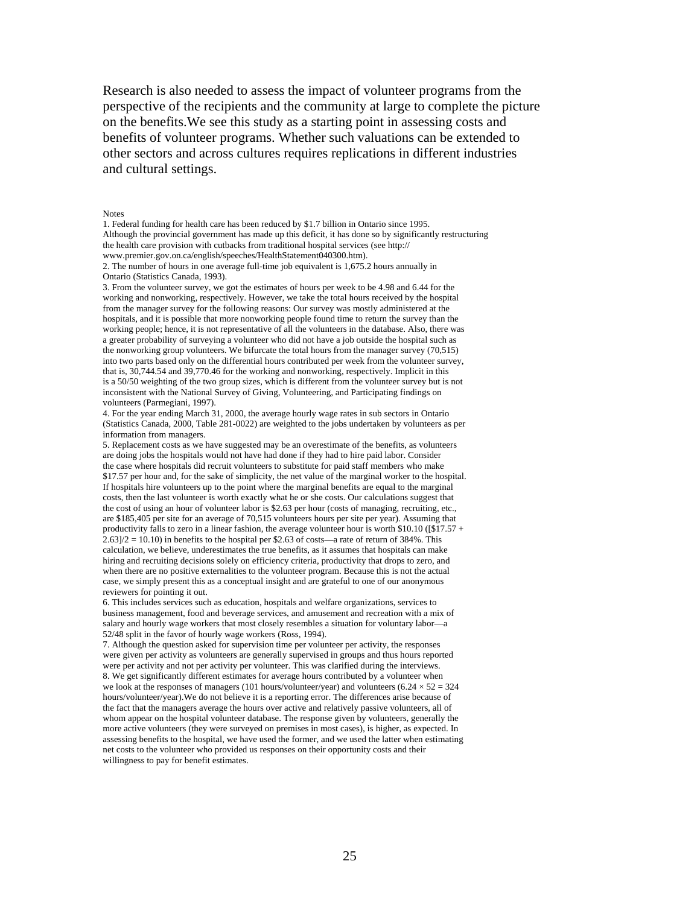Research is also needed to assess the impact of volunteer programs from the perspective of the recipients and the community at large to complete the picture on the benefits.We see this study as a starting point in assessing costs and benefits of volunteer programs. Whether such valuations can be extended to other sectors and across cultures requires replications in different industries and cultural settings.

Notes

1. Federal funding for health care has been reduced by \$1.7 billion in Ontario since 1995. Although the provincial government has made up this deficit, it has done so by significantly restructuring the health care provision with cutbacks from traditional hospital services (see http:// www.premier.gov.on.ca/english/speeches/HealthStatement040300.htm).

2. The number of hours in one average full-time job equivalent is 1,675.2 hours annually in Ontario (Statistics Canada, 1993).

3. From the volunteer survey, we got the estimates of hours per week to be 4.98 and 6.44 for the working and nonworking, respectively. However, we take the total hours received by the hospital from the manager survey for the following reasons: Our survey was mostly administered at the hospitals, and it is possible that more nonworking people found time to return the survey than the working people; hence, it is not representative of all the volunteers in the database. Also, there was a greater probability of surveying a volunteer who did not have a job outside the hospital such as the nonworking group volunteers. We bifurcate the total hours from the manager survey (70,515) into two parts based only on the differential hours contributed per week from the volunteer survey, that is, 30,744.54 and 39,770.46 for the working and nonworking, respectively. Implicit in this is a 50/50 weighting of the two group sizes, which is different from the volunteer survey but is not inconsistent with the National Survey of Giving, Volunteering, and Participating findings on volunteers (Parmegiani, 1997).

4. For the year ending March 31, 2000, the average hourly wage rates in sub sectors in Ontario (Statistics Canada, 2000, Table 281-0022) are weighted to the jobs undertaken by volunteers as per information from managers.

5. Replacement costs as we have suggested may be an overestimate of the benefits, as volunteers are doing jobs the hospitals would not have had done if they had to hire paid labor. Consider the case where hospitals did recruit volunteers to substitute for paid staff members who make \$17.57 per hour and, for the sake of simplicity, the net value of the marginal worker to the hospital. If hospitals hire volunteers up to the point where the marginal benefits are equal to the marginal costs, then the last volunteer is worth exactly what he or she costs. Our calculations suggest that the cost of using an hour of volunteer labor is \$2.63 per hour (costs of managing, recruiting, etc., are \$185,405 per site for an average of 70,515 volunteers hours per site per year). Assuming that productivity falls to zero in a linear fashion, the average volunteer hour is worth \$10.10 ([\$17.57 +  $2.63$ ]/2 = 10.10) in benefits to the hospital per \$2.63 of costs—a rate of return of 384%. This calculation, we believe, underestimates the true benefits, as it assumes that hospitals can make hiring and recruiting decisions solely on efficiency criteria, productivity that drops to zero, and when there are no positive externalities to the volunteer program. Because this is not the actual case, we simply present this as a conceptual insight and are grateful to one of our anonymous reviewers for pointing it out.

6. This includes services such as education, hospitals and welfare organizations, services to business management, food and beverage services, and amusement and recreation with a mix of salary and hourly wage workers that most closely resembles a situation for voluntary labor—a 52/48 split in the favor of hourly wage workers (Ross, 1994).

7. Although the question asked for supervision time per volunteer per activity, the responses were given per activity as volunteers are generally supervised in groups and thus hours reported were per activity and not per activity per volunteer. This was clarified during the interviews. 8. We get significantly different estimates for average hours contributed by a volunteer when we look at the responses of managers (101 hours/volunteer/year) and volunteers (6.24  $\times$  52 = 324 hours/volunteer/year).We do not believe it is a reporting error. The differences arise because of the fact that the managers average the hours over active and relatively passive volunteers, all of whom appear on the hospital volunteer database. The response given by volunteers, generally the more active volunteers (they were surveyed on premises in most cases), is higher, as expected. In assessing benefits to the hospital, we have used the former, and we used the latter when estimating net costs to the volunteer who provided us responses on their opportunity costs and their willingness to pay for benefit estimates.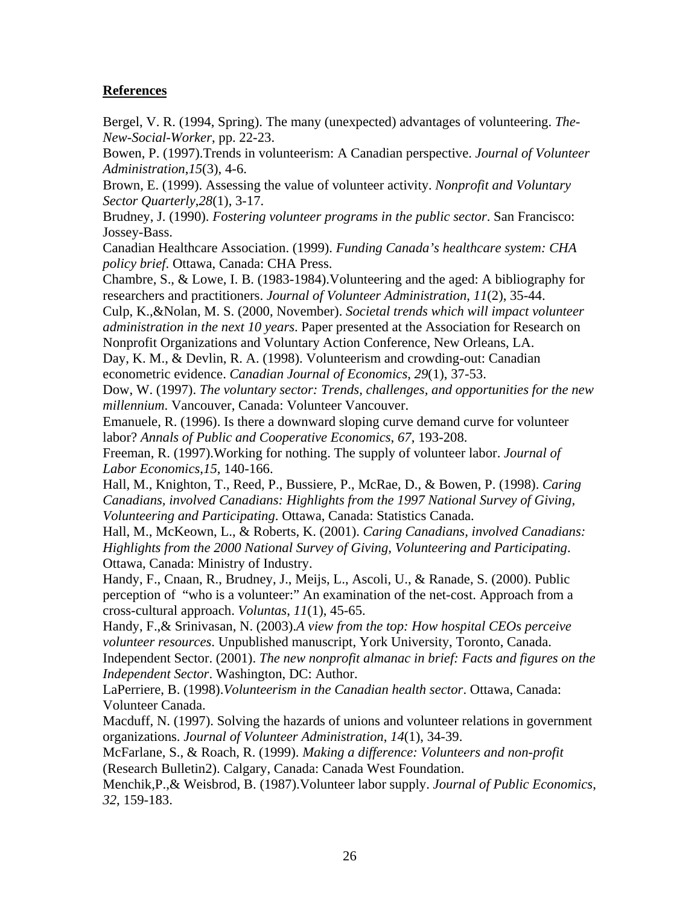## **References**

Bergel, V. R. (1994, Spring). The many (unexpected) advantages of volunteering. *The-New-Social-Worker*, pp. 22-23.

Bowen, P. (1997).Trends in volunteerism: A Canadian perspective. *Journal of Volunteer Administration*,*15*(3), 4-6.

Brown, E. (1999). Assessing the value of volunteer activity. *Nonprofit and Voluntary Sector Quarterly*,*28*(1), 3-17.

Brudney, J. (1990). *Fostering volunteer programs in the public sector*. San Francisco: Jossey-Bass.

Canadian Healthcare Association. (1999). *Funding Canada's healthcare system: CHA policy brief*. Ottawa, Canada: CHA Press.

Chambre, S., & Lowe, I. B. (1983-1984).Volunteering and the aged: A bibliography for researchers and practitioners. *Journal of Volunteer Administration*, *11*(2), 35-44.

Culp, K.,&Nolan, M. S. (2000, November). *Societal trends which will impact volunteer administration in the next 10 years*. Paper presented at the Association for Research on Nonprofit Organizations and Voluntary Action Conference, New Orleans, LA.

Day, K. M., & Devlin, R. A. (1998). Volunteerism and crowding-out: Canadian econometric evidence. *Canadian Journal of Economics*, *29*(1), 37-53.

Dow, W. (1997). *The voluntary sector: Trends, challenges, and opportunities for the new millennium*. Vancouver, Canada: Volunteer Vancouver.

Emanuele, R. (1996). Is there a downward sloping curve demand curve for volunteer labor? *Annals of Public and Cooperative Economics*, *67*, 193-208.

Freeman, R. (1997).Working for nothing. The supply of volunteer labor. *Journal of Labor Economics*,*15*, 140-166.

Hall, M., Knighton, T., Reed, P., Bussiere, P., McRae, D., & Bowen, P. (1998). *Caring Canadians, involved Canadians: Highlights from the 1997 National Survey of Giving, Volunteering and Participating*. Ottawa, Canada: Statistics Canada.

Hall, M., McKeown, L., & Roberts, K. (2001). *Caring Canadians, involved Canadians: Highlights from the 2000 National Survey of Giving, Volunteering and Participating*. Ottawa, Canada: Ministry of Industry.

Handy, F., Cnaan, R., Brudney, J., Meijs, L., Ascoli, U., & Ranade, S. (2000). Public perception of "who is a volunteer:" An examination of the net-cost. Approach from a cross-cultural approach. *Voluntas*, *11*(1), 45-65.

Handy, F.,& Srinivasan, N. (2003).*A view from the top: How hospital CEOs perceive volunteer resources*. Unpublished manuscript, York University, Toronto, Canada. Independent Sector. (2001). *The new nonprofit almanac in brief: Facts and figures on the* 

*Independent Sector*. Washington, DC: Author.

LaPerriere, B. (1998).*Volunteerism in the Canadian health sector*. Ottawa, Canada: Volunteer Canada.

Macduff, N. (1997). Solving the hazards of unions and volunteer relations in government organizations. *Journal of Volunteer Administration*, *14*(1), 34-39.

McFarlane, S., & Roach, R. (1999). *Making a difference: Volunteers and non-profit*  (Research Bulletin2). Calgary, Canada: Canada West Foundation.

Menchik,P.,& Weisbrod, B. (1987).Volunteer labor supply. *Journal of Public Economics*, *32*, 159-183.